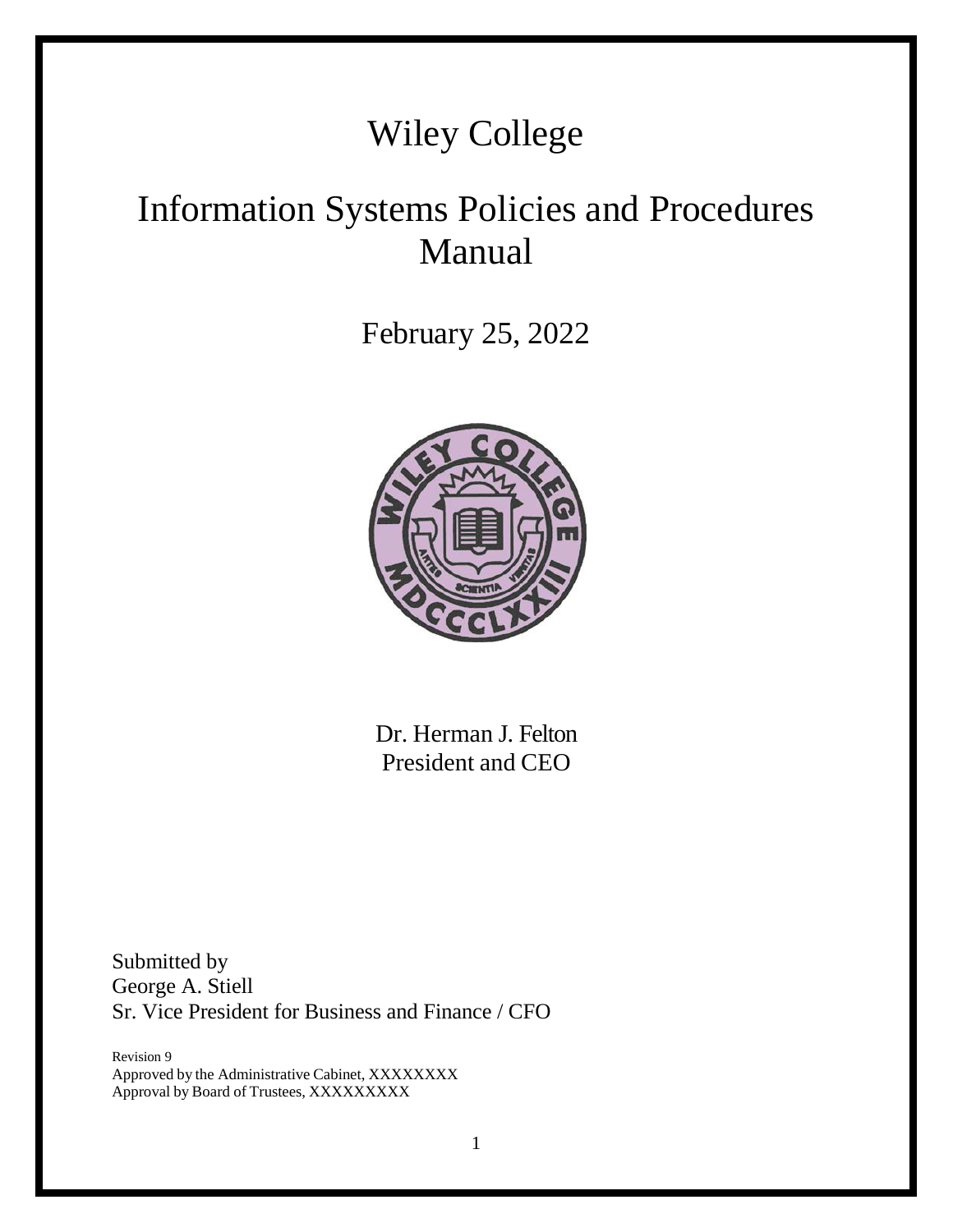# Wiley College

# Information Systems Policies and Procedures Manual

February 25, 2022



Dr. Herman J. Felton President and CEO

Submitted by George A. Stiell Sr. Vice President for Business and Finance / CFO

Revision 9 Approved by the Administrative Cabinet, XXXXXXXX Approval by Board of Trustees, XXXXXXXXX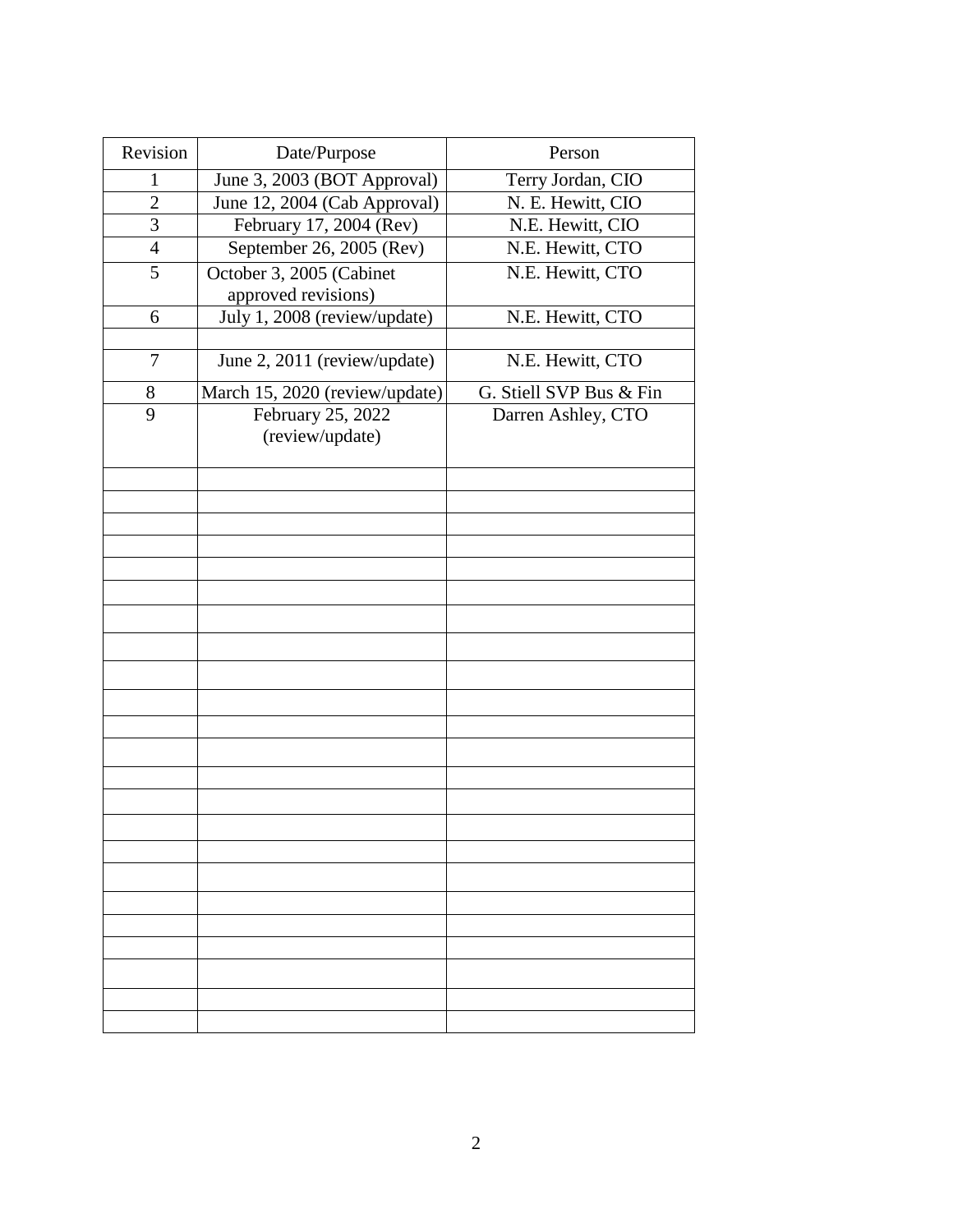| Revision       | Date/Purpose                   | Person                  |
|----------------|--------------------------------|-------------------------|
| 1              | June 3, 2003 (BOT Approval)    | Terry Jordan, CIO       |
| $\mathbf{2}$   | June 12, 2004 (Cab Approval)   | N. E. Hewitt, CIO       |
| $\overline{3}$ | February 17, 2004 (Rev)        | N.E. Hewitt, CIO        |
| 4              | September $26$ , $2005$ (Rev)  | N.E. Hewitt, CTO        |
| $\overline{5}$ | October 3, 2005 (Cabinet       | N.E. Hewitt, CTO        |
|                | approved revisions)            |                         |
| 6              | July 1, 2008 (review/update)   | N.E. Hewitt, CTO        |
|                |                                |                         |
| 7              | June 2, 2011 (review/update)   | N.E. Hewitt, CTO        |
| 8              | March 15, 2020 (review/update) | G. Stiell SVP Bus & Fin |
| 9              | February 25, 2022              | Darren Ashley, CTO      |
|                | (review/update)                |                         |
|                |                                |                         |
|                |                                |                         |
|                |                                |                         |
|                |                                |                         |
|                |                                |                         |
|                |                                |                         |
|                |                                |                         |
|                |                                |                         |
|                |                                |                         |
|                |                                |                         |
|                |                                |                         |
|                |                                |                         |
|                |                                |                         |
|                |                                |                         |
|                |                                |                         |
|                |                                |                         |
|                |                                |                         |
|                |                                |                         |
|                |                                |                         |
|                |                                |                         |
|                |                                |                         |
|                |                                |                         |
|                |                                |                         |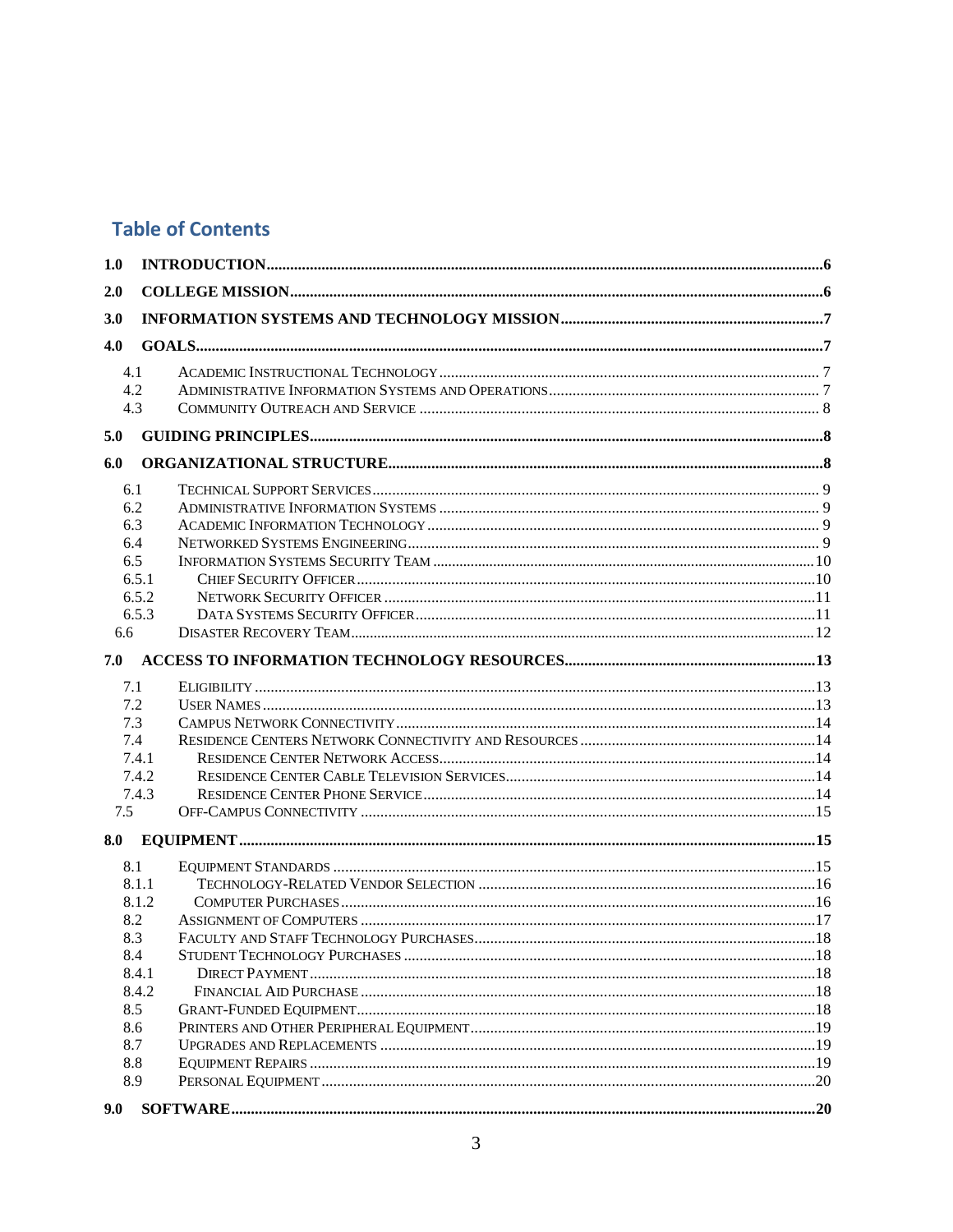# **Table of Contents**

| 1.0 |            |  |
|-----|------------|--|
| 2.0 |            |  |
| 3.0 |            |  |
|     |            |  |
| 4.0 |            |  |
|     | 4.1        |  |
|     | 4.2<br>4.3 |  |
|     |            |  |
| 5.0 |            |  |
| 6.0 |            |  |
|     | 6.1        |  |
|     | 6.2        |  |
|     | 6.3        |  |
|     | 6.4        |  |
|     | 6.5        |  |
|     | 6.5.1      |  |
|     | 6.5.2      |  |
|     | 6.5.3      |  |
| 6.6 |            |  |
| 7.0 |            |  |
|     | 7.1        |  |
|     | 7.2        |  |
|     | 7.3        |  |
|     | 7.4        |  |
|     | 7.4.1      |  |
|     | 7.4.2      |  |
|     | 7.4.3      |  |
| 7.5 |            |  |
| 8.0 |            |  |
|     | 8.1        |  |
|     | 8.1.1      |  |
|     | 8.1.2      |  |
|     | 8.2        |  |
|     | 8.3        |  |
|     | 8.4        |  |
|     | 8.4.1      |  |
|     | 8.4.2      |  |
|     | 8.5        |  |
|     | 8.6        |  |
|     | 8.7<br>8.8 |  |
|     | 8.9        |  |
|     |            |  |
| 9.0 |            |  |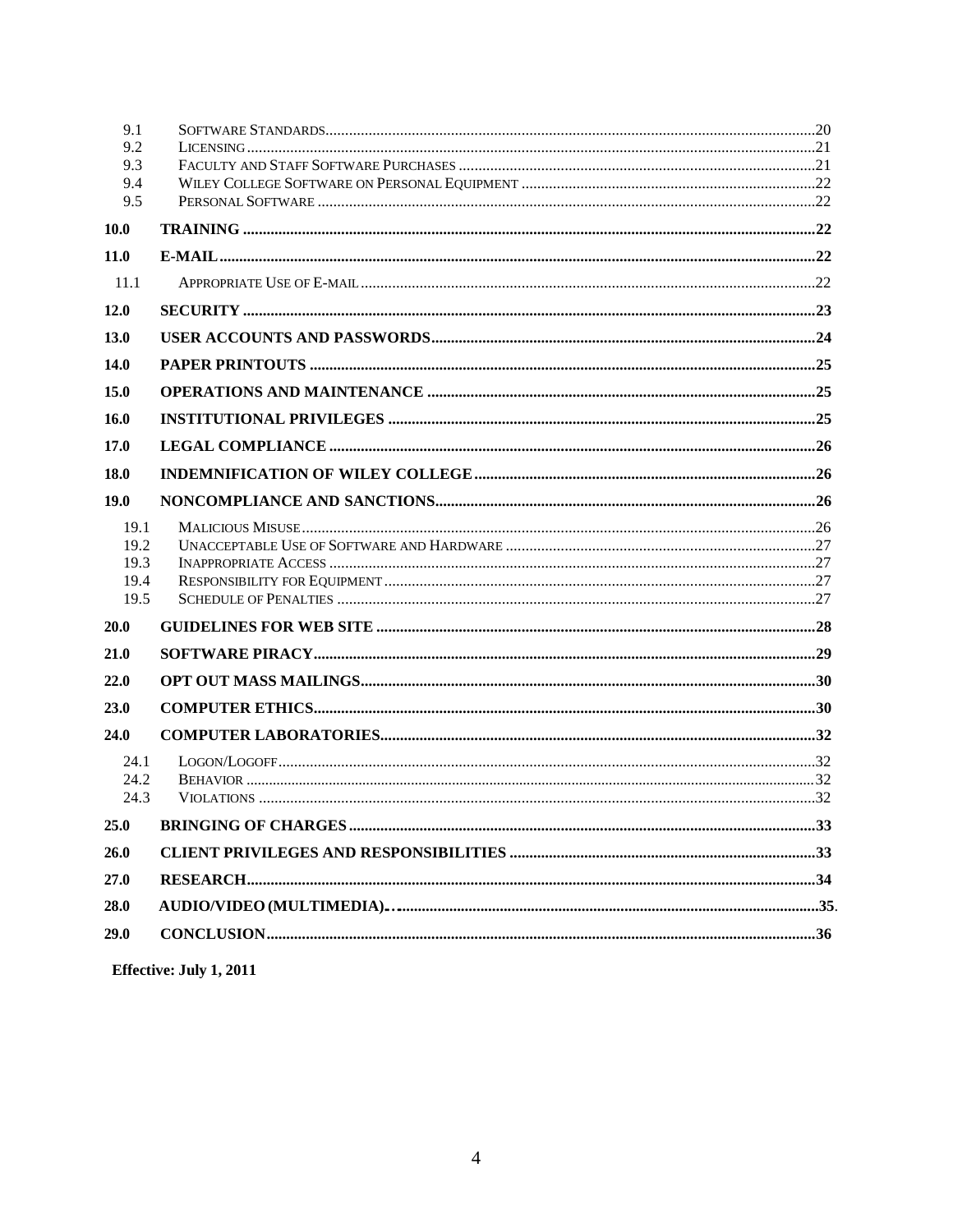| 9.1          |  |
|--------------|--|
| 9.2          |  |
| 9.3<br>9.4   |  |
| 9.5          |  |
| <b>10.0</b>  |  |
| 11.0         |  |
| 11.1         |  |
| 12.0         |  |
| 13.0         |  |
| 14.0         |  |
| 15.0         |  |
| 16.0         |  |
| 17.0         |  |
| <b>18.0</b>  |  |
| 19.0         |  |
| 19.1         |  |
| 19.2         |  |
| 19.3         |  |
| 19.4<br>19.5 |  |
| <b>20.0</b>  |  |
| 21.0         |  |
| 22.0         |  |
| 23.0         |  |
| 24.0         |  |
| 24.1         |  |
| 24.2         |  |
| 24.3         |  |
| 25.0         |  |
| 26.0         |  |
| 27.0         |  |
| 28.0         |  |
| 29.0         |  |
|              |  |

Effective: July 1, 2011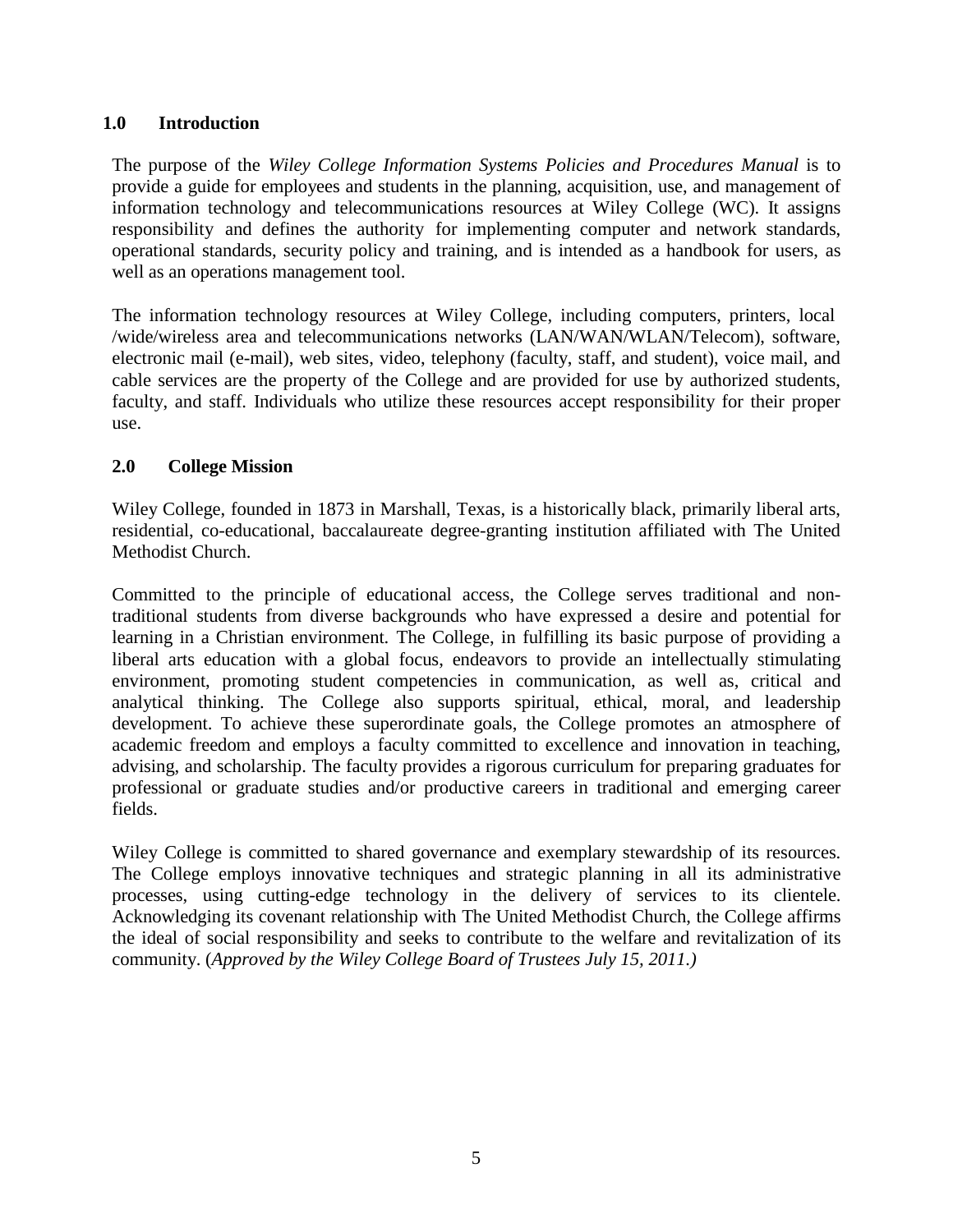#### **1.0 Introduction**

The purpose of the *Wiley College Information Systems Policies and Procedures Manual* is to provide a guide for employees and students in the planning, acquisition, use, and management of information technology and telecommunications resources at Wiley College (WC). It assigns responsibility and defines the authority for implementing computer and network standards, operational standards, security policy and training, and is intended as a handbook for users, as well as an operations management tool.

The information technology resources at Wiley College, including computers, printers, local /wide/wireless area and telecommunications networks (LAN/WAN/WLAN/Telecom), software, electronic mail (e-mail), web sites, video, telephony (faculty, staff, and student), voice mail, and cable services are the property of the College and are provided for use by authorized students, faculty, and staff. Individuals who utilize these resources accept responsibility for their proper use.

#### <span id="page-4-0"></span>**2.0 College Mission**

Wiley College, founded in 1873 in Marshall, Texas, is a historically black, primarily liberal arts, residential, co-educational, baccalaureate degree-granting institution affiliated with The United Methodist Church.

Committed to the principle of educational access, the College serves traditional and nontraditional students from diverse backgrounds who have expressed a desire and potential for learning in a Christian environment. The College, in fulfilling its basic purpose of providing a liberal arts education with a global focus, endeavors to provide an intellectually stimulating environment, promoting student competencies in communication, as well as, critical and analytical thinking. The College also supports spiritual, ethical, moral, and leadership development. To achieve these superordinate goals, the College promotes an atmosphere of academic freedom and employs a faculty committed to excellence and innovation in teaching, advising, and scholarship. The faculty provides a rigorous curriculum for preparing graduates for professional or graduate studies and/or productive careers in traditional and emerging career fields.

Wiley College is committed to shared governance and exemplary stewardship of its resources. The College employs innovative techniques and strategic planning in all its administrative processes, using cutting-edge technology in the delivery of services to its clientele. Acknowledging its covenant relationship with The United Methodist Church, the College affirms the ideal of social responsibility and seeks to contribute to the welfare and revitalization of its community. (*Approved by the Wiley College Board of Trustees July 15, 2011.)*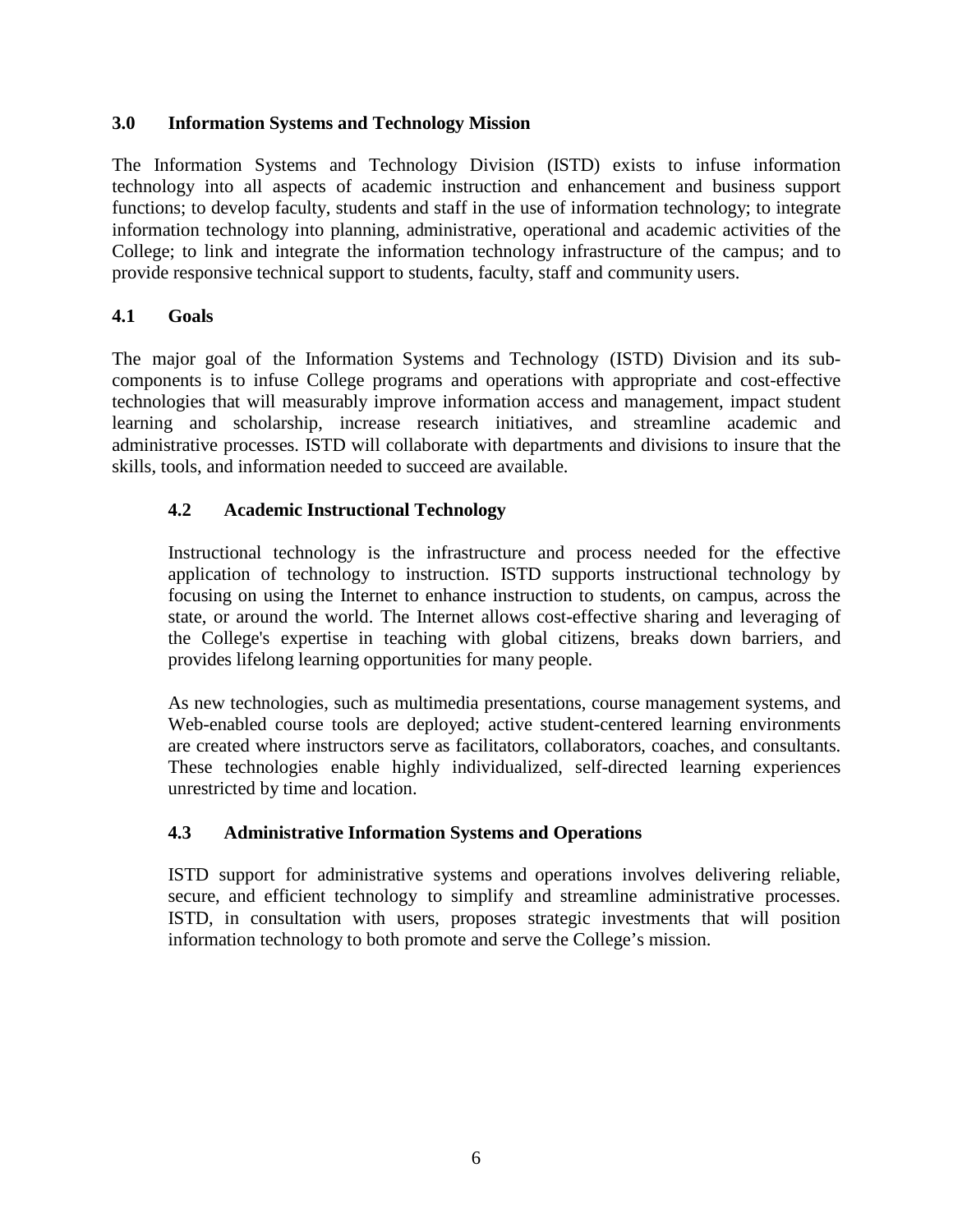#### <span id="page-5-0"></span>**3.0 Information Systems and Technology Mission**

The Information Systems and Technology Division (ISTD) exists to infuse information technology into all aspects of academic instruction and enhancement and business support functions; to develop faculty, students and staff in the use of information technology; to integrate information technology into planning, administrative, operational and academic activities of the College; to link and integrate the information technology infrastructure of the campus; and to provide responsive technical support to students, faculty, staff and community users.

#### <span id="page-5-1"></span>**4.1 Goals**

The major goal of the Information Systems and Technology (ISTD) Division and its subcomponents is to infuse College programs and operations with appropriate and cost-effective technologies that will measurably improve information access and management, impact student learning and scholarship, increase research initiatives, and streamline academic and administrative processes. ISTD will collaborate with departments and divisions to insure that the skills, tools, and information needed to succeed are available.

#### <span id="page-5-2"></span>**4.2 Academic Instructional Technology**

Instructional technology is the infrastructure and process needed for the effective application of technology to instruction. ISTD supports instructional technology by focusing on using the Internet to enhance instruction to students, on campus, across the state, or around the world. The Internet allows cost-effective sharing and leveraging of the College's expertise in teaching with global citizens, breaks down barriers, and provides lifelong learning opportunities for many people.

As new technologies, such as multimedia presentations, course management systems, and Web-enabled course tools are deployed; active student-centered learning environments are created where instructors serve as facilitators, collaborators, coaches, and consultants. These technologies enable highly individualized, self-directed learning experiences unrestricted by time and location.

#### <span id="page-5-3"></span>**4.3 Administrative Information Systems and Operations**

ISTD support for administrative systems and operations involves delivering reliable, secure, and efficient technology to simplify and streamline administrative processes. ISTD, in consultation with users, proposes strategic investments that will position information technology to both promote and serve the College's mission.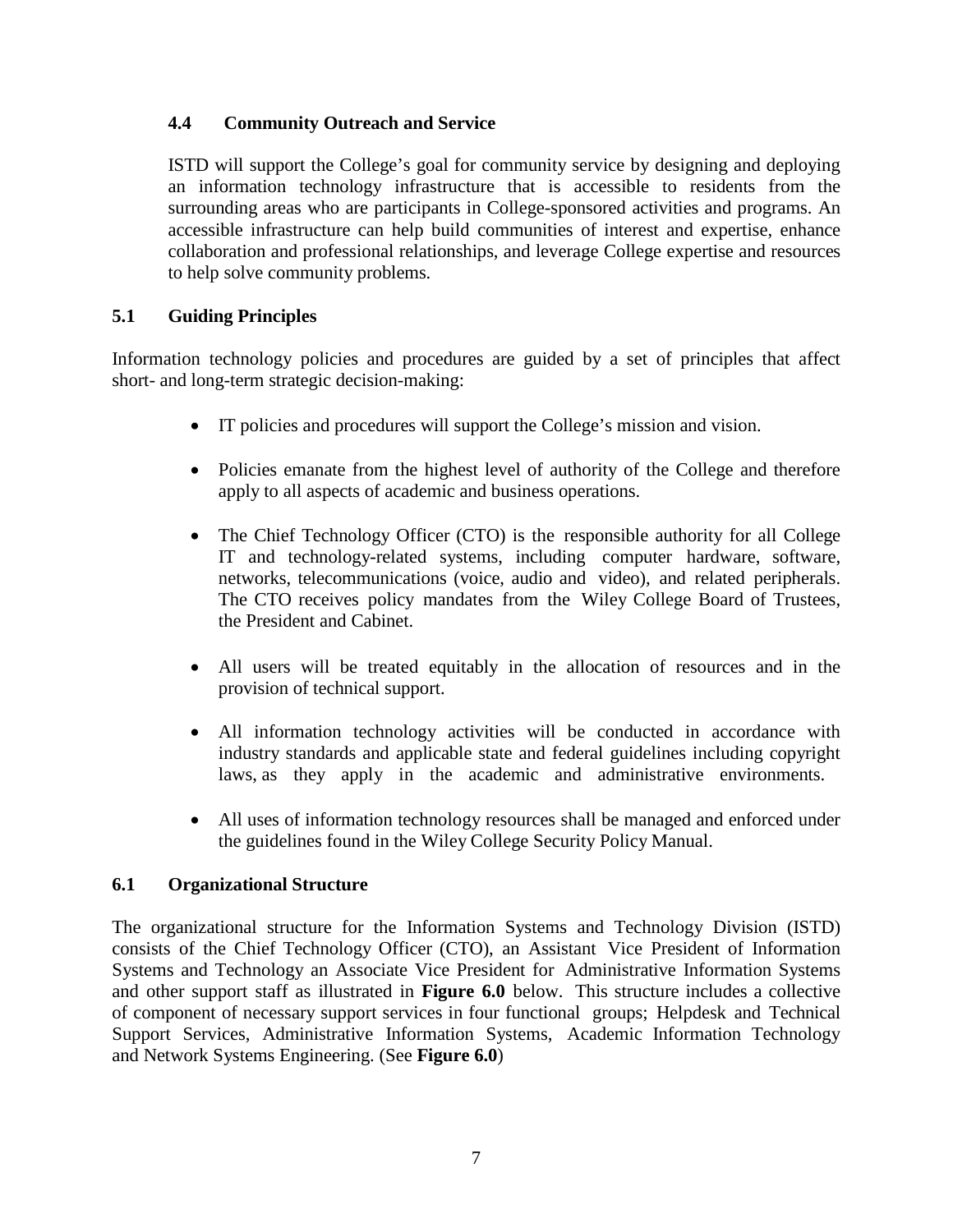#### <span id="page-6-0"></span>**4.4 Community Outreach and Service**

ISTD will support the College's goal for community service by designing and deploying an information technology infrastructure that is accessible to residents from the surrounding areas who are participants in College-sponsored activities and programs. An accessible infrastructure can help build communities of interest and expertise, enhance collaboration and professional relationships, and leverage College expertise and resources to help solve community problems.

## <span id="page-6-1"></span>**5.1 Guiding Principles**

Information technology policies and procedures are guided by a set of principles that affect short- and long-term strategic decision-making:

- IT policies and procedures will support the College's mission and vision.
- Policies emanate from the highest level of authority of the College and therefore apply to all aspects of academic and business operations.
- The Chief Technology Officer (CTO) is the responsible authority for all College IT and technology-related systems, including computer hardware, software, networks, telecommunications (voice, audio and video), and related peripherals. The CTO receives policy mandates from the Wiley College Board of Trustees, the President and Cabinet.
- All users will be treated equitably in the allocation of resources and in the provision of technical support.
- All information technology activities will be conducted in accordance with industry standards and applicable state and federal guidelines including copyright laws, as they apply in the academic and administrative environments.
- All uses of information technology resources shall be managed and enforced under the guidelines found in the Wiley College Security Policy Manual.

#### <span id="page-6-2"></span>**6.1 Organizational Structure**

The organizational structure for the Information Systems and Technology Division (ISTD) consists of the Chief Technology Officer (CTO), an Assistant Vice President of Information Systems and Technology an Associate Vice President for Administrative Information Systems and other support staff as illustrated in **Figure 6.0** below. This structure includes a collective of component of necessary support services in four functional groups; Helpdesk and Technical Support Services, Administrative Information Systems, Academic Information Technology and Network Systems Engineering. (See **Figure 6.0**)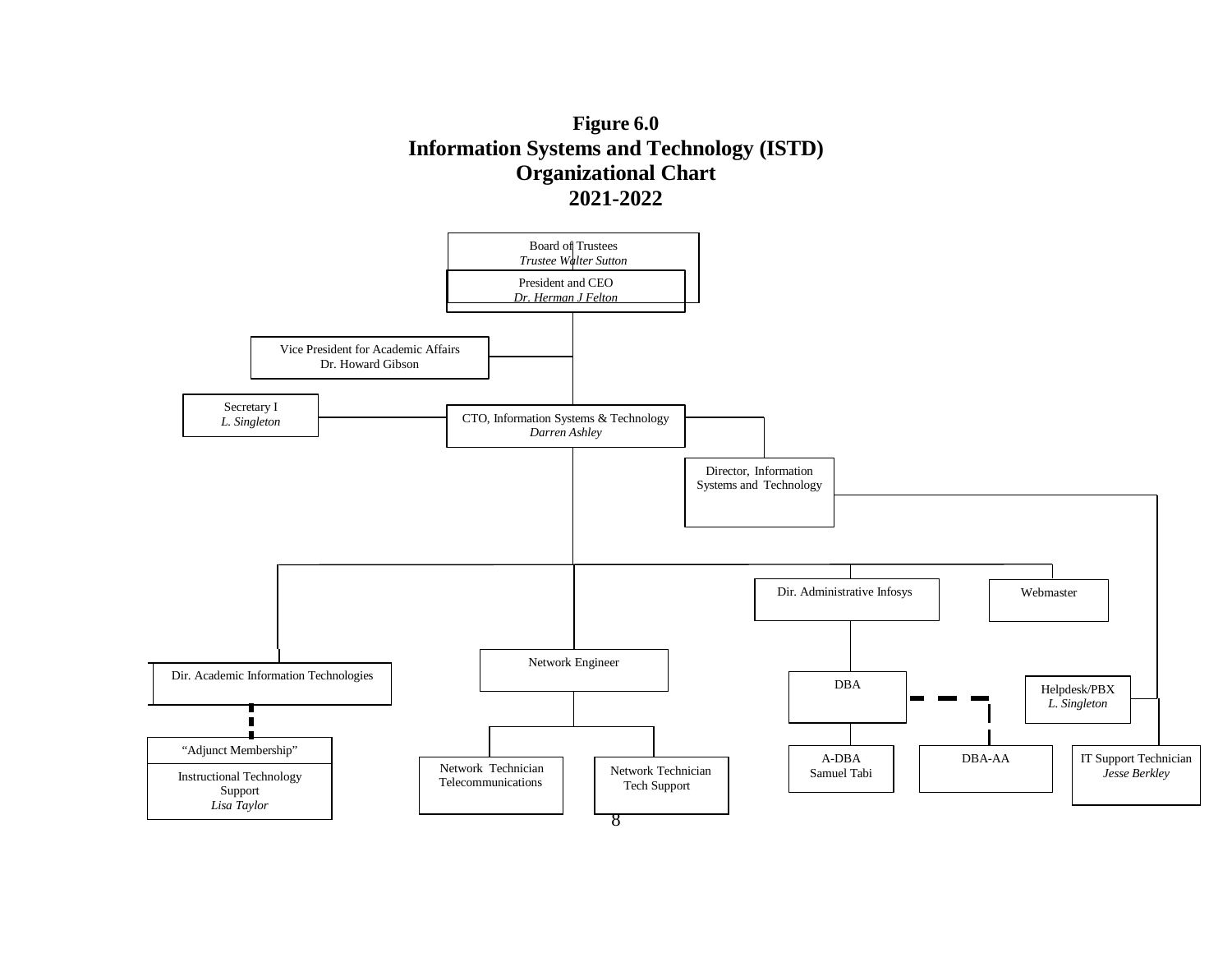

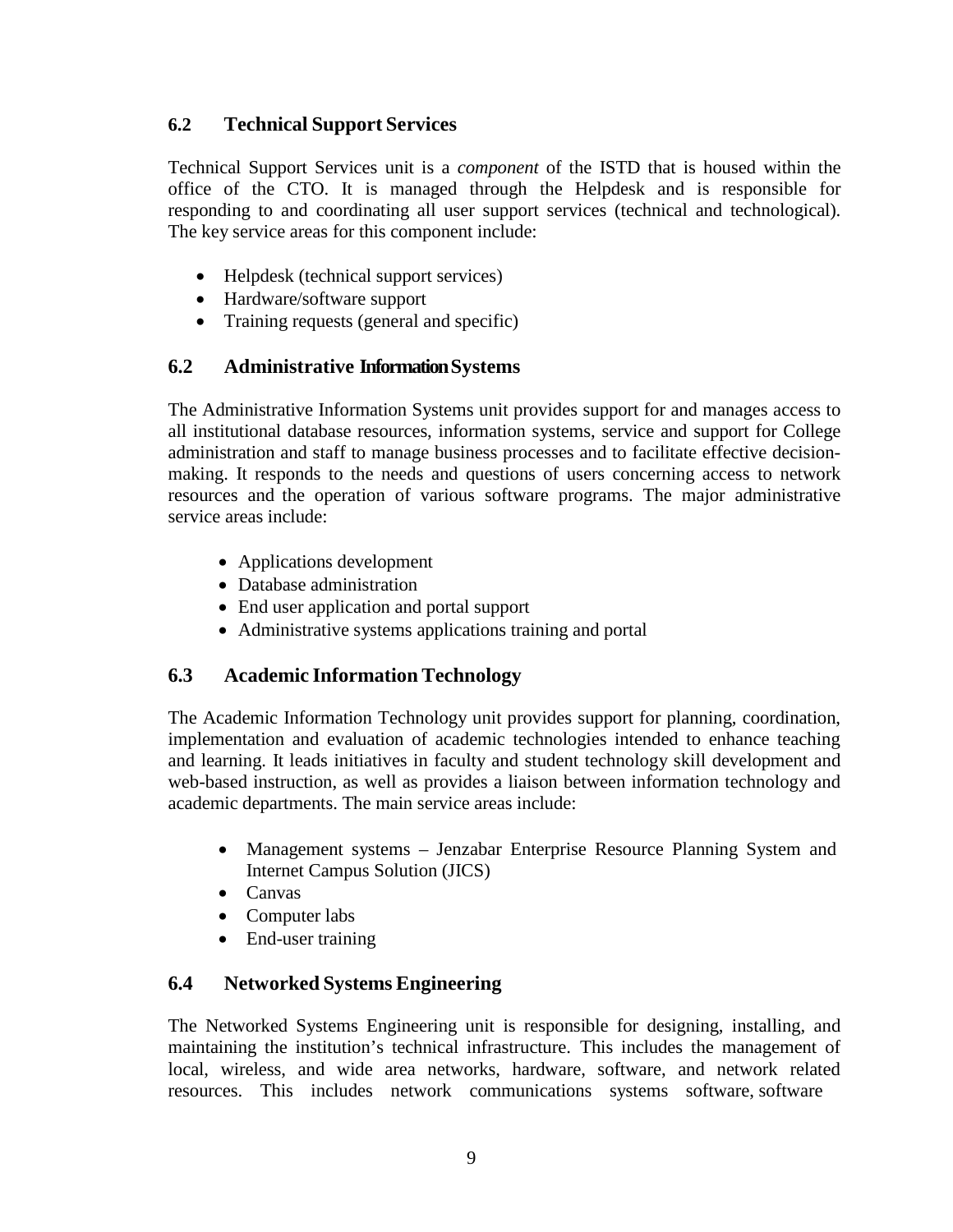## <span id="page-8-0"></span>**6.2 Technical Support Services**

Technical Support Services unit is a *component* of the ISTD that is housed within the office of the CTO. It is managed through the Helpdesk and is responsible for responding to and coordinating all user support services (technical and technological). The key service areas for this component include:

- Helpdesk (technical support services)
- Hardware/software support
- Training requests (general and specific)

# <span id="page-8-1"></span>**6.2 Administrative InformationSystems**

The Administrative Information Systems unit provides support for and manages access to all institutional database resources, information systems, service and support for College administration and staff to manage business processes and to facilitate effective decisionmaking. It responds to the needs and questions of users concerning access to network resources and the operation of various software programs. The major administrative service areas include:

- Applications development
- Database administration
- End user application and portal support
- Administrative systems applications training and portal

# <span id="page-8-2"></span>**6.3 Academic Information Technology**

The Academic Information Technology unit provides support for planning, coordination, implementation and evaluation of academic technologies intended to enhance teaching and learning. It leads initiatives in faculty and student technology skill development and web-based instruction, as well as provides a liaison between information technology and academic departments. The main service areas include:

- Management systems Jenzabar Enterprise Resource Planning System and Internet Campus Solution (JICS)
- Canvas
- Computer labs
- End-user training

# <span id="page-8-3"></span>**6.4 Networked Systems Engineering**

The Networked Systems Engineering unit is responsible for designing, installing, and maintaining the institution's technical infrastructure. This includes the management of local, wireless, and wide area networks, hardware, software, and network related resources. This includes network communications systems software, software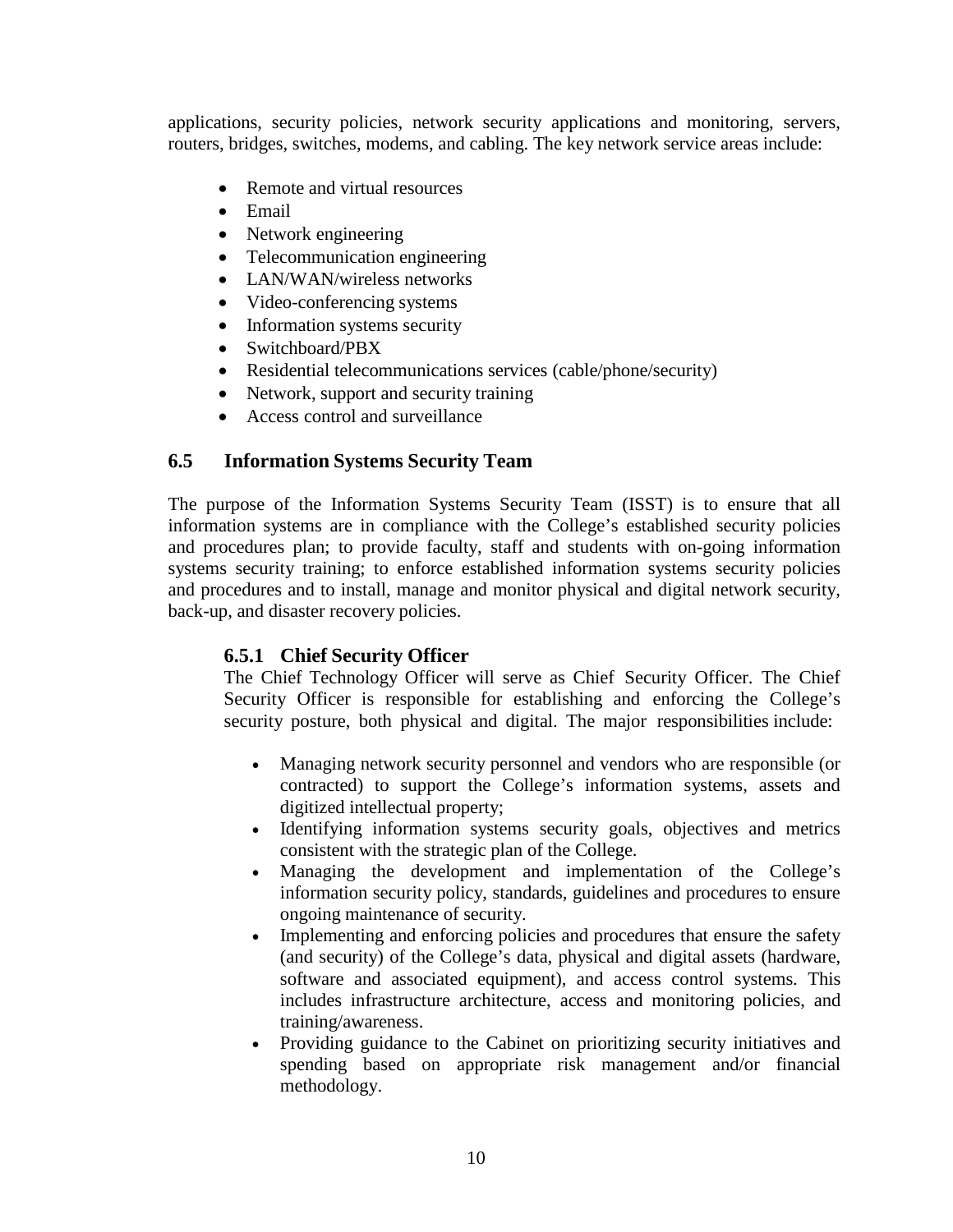applications, security policies, network security applications and monitoring, servers, routers, bridges, switches, modems, and cabling. The key network service areas include:

- Remote and virtual resources
- Email
- Network engineering
- Telecommunication engineering
- LAN/WAN/wireless networks
- Video-conferencing systems
- Information systems security
- Switchboard/PBX
- Residential telecommunications services (cable/phone/security)
- Network, support and security training
- Access control and surveillance

#### <span id="page-9-0"></span>**6.5 Information Systems Security Team**

The purpose of the Information Systems Security Team (ISST) is to ensure that all information systems are in compliance with the College's established security policies and procedures plan; to provide faculty, staff and students with on-going information systems security training; to enforce established information systems security policies and procedures and to install, manage and monitor physical and digital network security, back-up, and disaster recovery policies.

#### <span id="page-9-1"></span>**6.5.1 Chief Security Officer**

The Chief Technology Officer will serve as Chief Security Officer. The Chief Security Officer is responsible for establishing and enforcing the College's security posture, both physical and digital. The major responsibilities include:

- Managing network security personnel and vendors who are responsible (or contracted) to support the College's information systems, assets and digitized intellectual property;
- Identifying information systems security goals, objectives and metrics consistent with the strategic plan of the College.
- Managing the development and implementation of the College's information security policy, standards, guidelines and procedures to ensure ongoing maintenance of security.
- Implementing and enforcing policies and procedures that ensure the safety (and security) of the College's data, physical and digital assets (hardware, software and associated equipment), and access control systems. This includes infrastructure architecture, access and monitoring policies, and training/awareness.
- Providing guidance to the Cabinet on prioritizing security initiatives and spending based on appropriate risk management and/or financial methodology.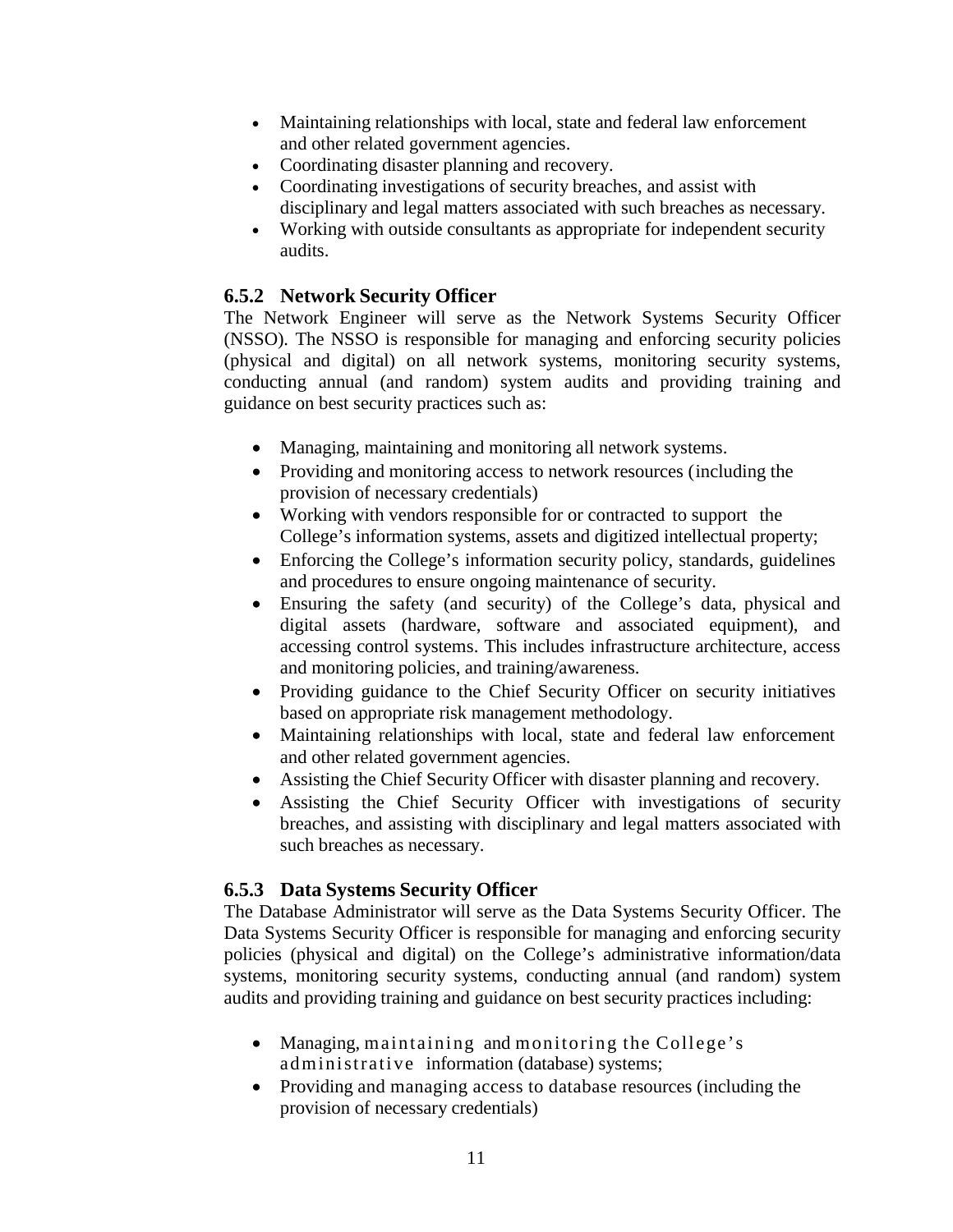- Maintaining relationships with local, state and federal law enforcement and other related government agencies.
- Coordinating disaster planning and recovery.
- Coordinating investigations of security breaches, and assist with disciplinary and legal matters associated with such breaches as necessary.
- Working with outside consultants as appropriate for independent security audits.

# <span id="page-10-0"></span>**6.5.2 Network Security Officer**

The Network Engineer will serve as the Network Systems Security Officer (NSSO). The NSSO is responsible for managing and enforcing security policies (physical and digital) on all network systems, monitoring security systems, conducting annual (and random) system audits and providing training and guidance on best security practices such as:

- Managing, maintaining and monitoring all network systems.
- Providing and monitoring access to network resources (including the provision of necessary credentials)
- Working with vendors responsible for or contracted to support the College's information systems, assets and digitized intellectual property;
- Enforcing the College's information security policy, standards, guidelines and procedures to ensure ongoing maintenance of security.
- Ensuring the safety (and security) of the College's data, physical and digital assets (hardware, software and associated equipment), and accessing control systems. This includes infrastructure architecture, access and monitoring policies, and training/awareness.
- Providing guidance to the Chief Security Officer on security initiatives based on appropriate risk management methodology.
- Maintaining relationships with local, state and federal law enforcement and other related government agencies.
- Assisting the Chief Security Officer with disaster planning and recovery.
- Assisting the Chief Security Officer with investigations of security breaches, and assisting with disciplinary and legal matters associated with such breaches as necessary.

# <span id="page-10-1"></span>**6.5.3 Data Systems Security Officer**

The Database Administrator will serve as the Data Systems Security Officer. The Data Systems Security Officer is responsible for managing and enforcing security policies (physical and digital) on the College's administrative information/data systems, monitoring security systems, conducting annual (and random) system audits and providing training and guidance on best security practices including:

- Managing, maintaining and monitoring the College's administrative information (database) systems;
- Providing and managing access to database resources (including the provision of necessary credentials)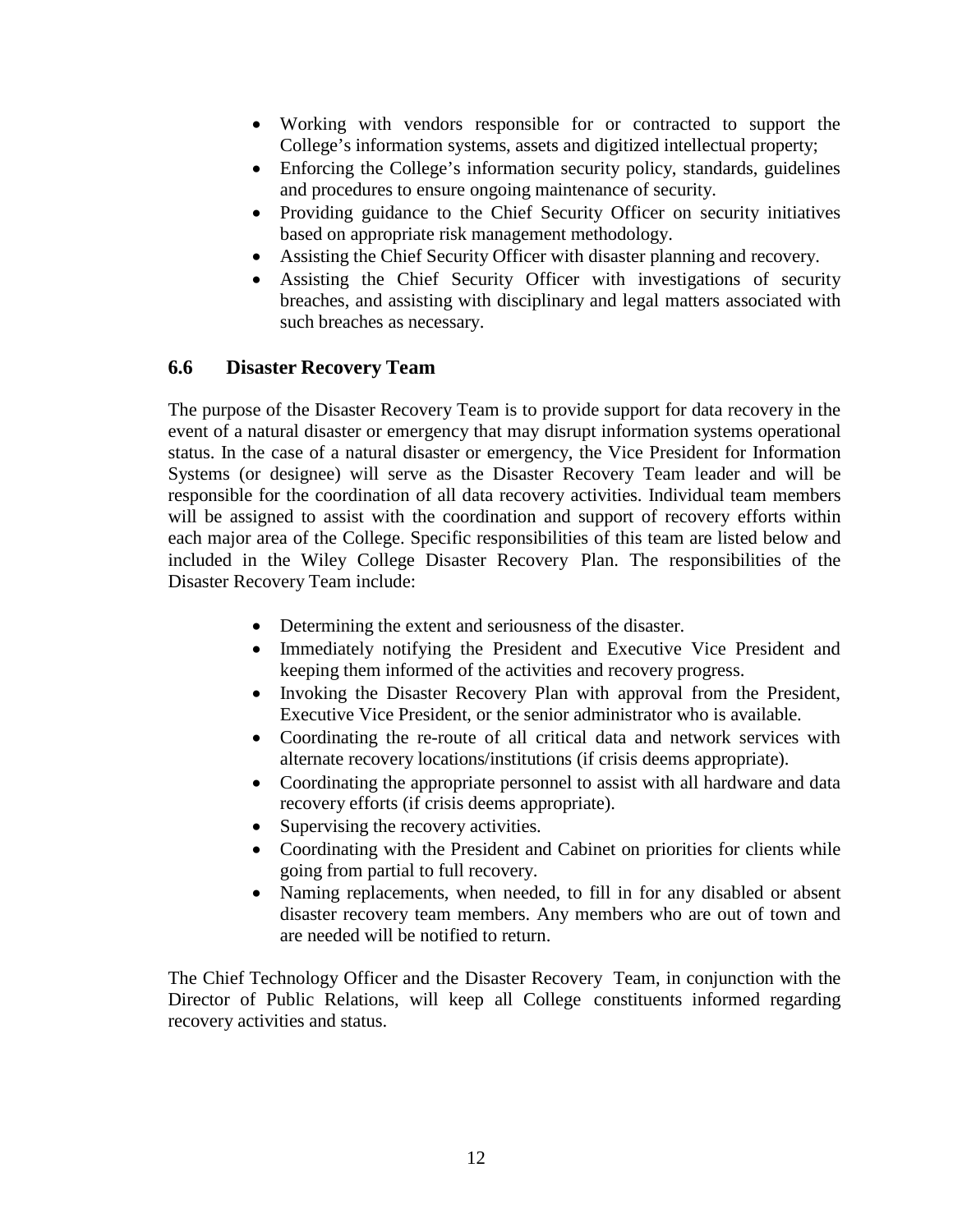- Working with vendors responsible for or contracted to support the College's information systems, assets and digitized intellectual property;
- Enforcing the College's information security policy, standards, guidelines and procedures to ensure ongoing maintenance of security.
- Providing guidance to the Chief Security Officer on security initiatives based on appropriate risk management methodology.
- Assisting the Chief Security Officer with disaster planning and recovery.
- Assisting the Chief Security Officer with investigations of security breaches, and assisting with disciplinary and legal matters associated with such breaches as necessary.

# <span id="page-11-0"></span>**6.6 Disaster Recovery Team**

The purpose of the Disaster Recovery Team is to provide support for data recovery in the event of a natural disaster or emergency that may disrupt information systems operational status. In the case of a natural disaster or emergency, the Vice President for Information Systems (or designee) will serve as the Disaster Recovery Team leader and will be responsible for the coordination of all data recovery activities. Individual team members will be assigned to assist with the coordination and support of recovery efforts within each major area of the College. Specific responsibilities of this team are listed below and included in the Wiley College Disaster Recovery Plan. The responsibilities of the Disaster Recovery Team include:

- Determining the extent and seriousness of the disaster.
- Immediately notifying the President and Executive Vice President and keeping them informed of the activities and recovery progress.
- Invoking the Disaster Recovery Plan with approval from the President, Executive Vice President, or the senior administrator who is available.
- Coordinating the re-route of all critical data and network services with alternate recovery locations/institutions (if crisis deems appropriate).
- Coordinating the appropriate personnel to assist with all hardware and data recovery efforts (if crisis deems appropriate).
- Supervising the recovery activities.
- Coordinating with the President and Cabinet on priorities for clients while going from partial to full recovery.
- Naming replacements, when needed, to fill in for any disabled or absent disaster recovery team members. Any members who are out of town and are needed will be notified to return.

The Chief Technology Officer and the Disaster Recovery Team, in conjunction with the Director of Public Relations, will keep all College constituents informed regarding recovery activities and status.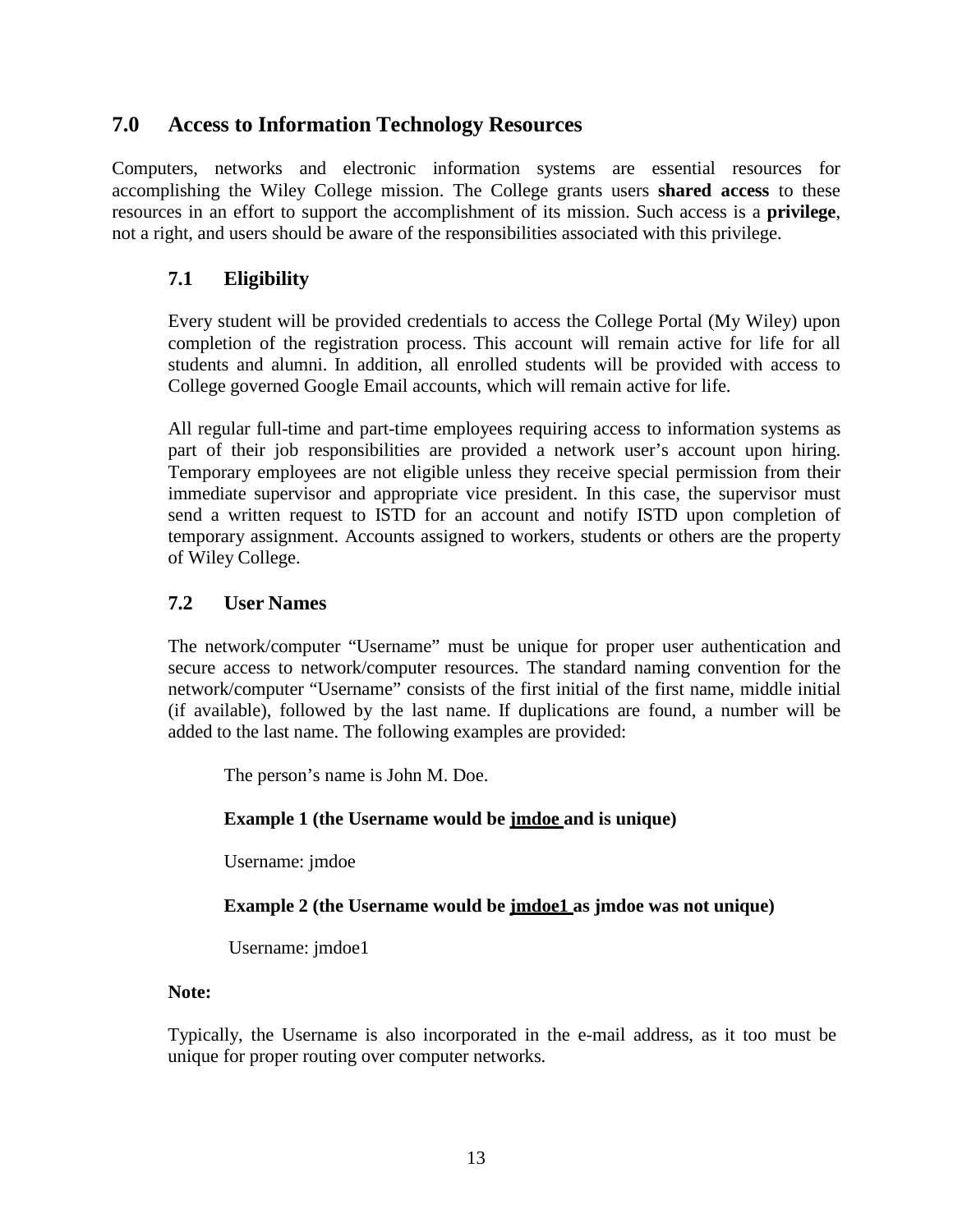# <span id="page-12-0"></span>**7.0 Access to Information Technology Resources**

Computers, networks and electronic information systems are essential resources for accomplishing the Wiley College mission. The College grants users **shared access** to these resources in an effort to support the accomplishment of its mission. Such access is a **privilege**, not a right, and users should be aware of the responsibilities associated with this privilege.

# <span id="page-12-1"></span>**7.1 Eligibility**

Every student will be provided credentials to access the College Portal (My Wiley) upon completion of the registration process. This account will remain active for life for all students and alumni. In addition, all enrolled students will be provided with access to College governed Google Email accounts, which will remain active for life.

All regular full-time and part-time employees requiring access to information systems as part of their job responsibilities are provided a network user's account upon hiring. Temporary employees are not eligible unless they receive special permission from their immediate supervisor and appropriate vice president. In this case, the supervisor must send a written request to ISTD for an account and notify ISTD upon completion of temporary assignment. Accounts assigned to workers, students or others are the property of Wiley College.

# <span id="page-12-2"></span>**7.2 User Names**

The network/computer "Username" must be unique for proper user authentication and secure access to network/computer resources. The standard naming convention for the network/computer "Username" consists of the first initial of the first name, middle initial (if available), followed by the last name. If duplications are found, a number will be added to the last name. The following examples are provided:

The person's name is John M. Doe.

# **Example 1 (the Username would be jmdoe and is unique)**

Username: jmdoe

#### **Example 2** (the Username would be **<u>jmdoe1</u>** as jmdoe was not unique)

Username: jmdoe1

#### **Note:**

Typically, the Username is also incorporated in the e-mail address, as it too must be unique for proper routing over computer networks.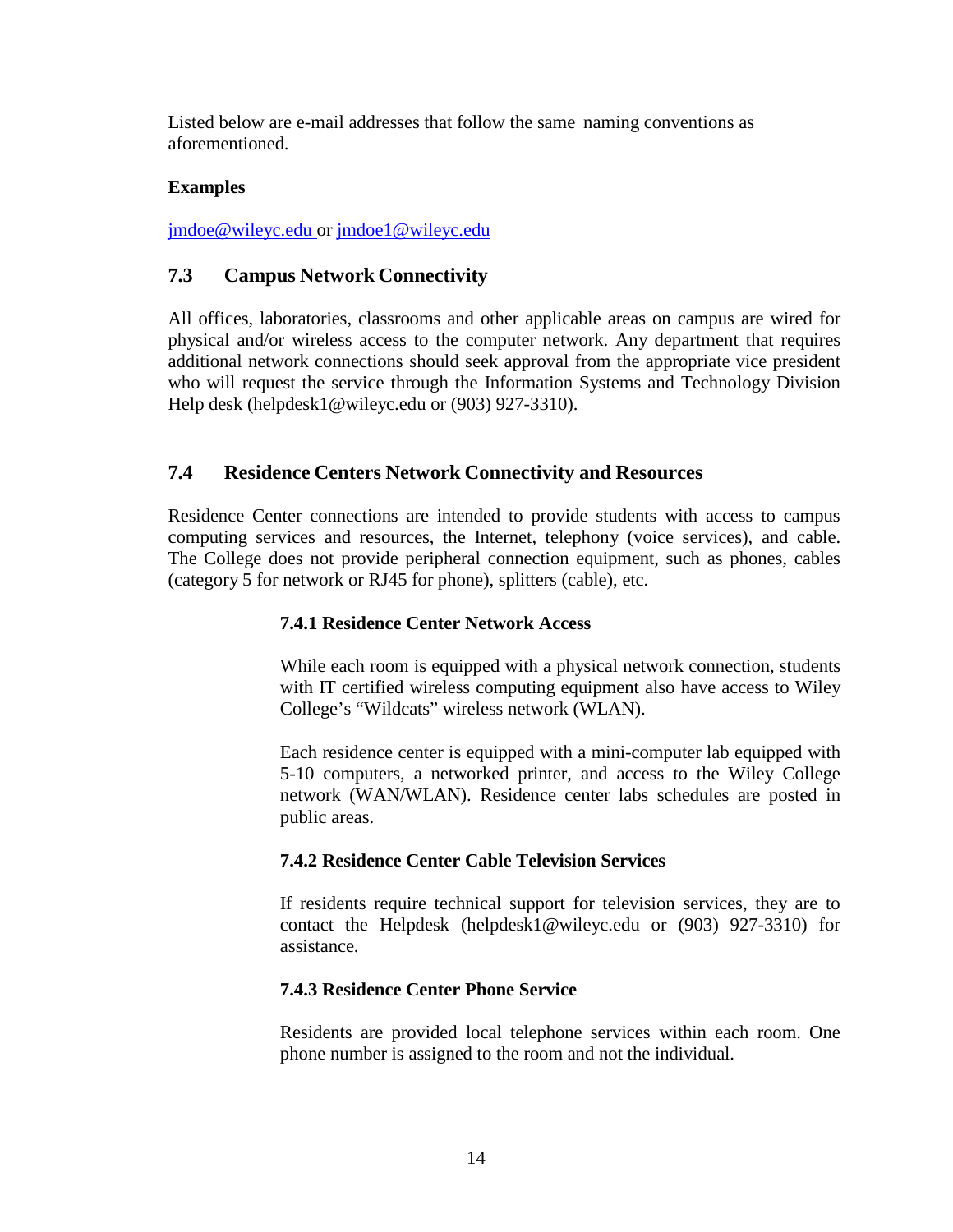Listed below are e-mail addresses that follow the same naming conventions as aforementioned.

#### **Examples**

[jmdoe@wileyc.edu](mailto:jmdoe@wileyc.edu) or [jmdoe1@wileyc.edu](mailto:jmdoe@wileyc.edu)

# <span id="page-13-0"></span>**7.3 Campus Network Connectivity**

All offices, laboratories, classrooms and other applicable areas on campus are wired for physical and/or wireless access to the computer network. Any department that requires additional network connections should seek approval from the appropriate vice president who will request the service through the Information Systems and Technology Division Help desk [\(helpdesk1@wileyc.edu](mailto:(helpdesk1@wileyc.edu) or (903) 927-3310).

# <span id="page-13-1"></span>**7.4 Residence Centers Network Connectivity and Resources**

<span id="page-13-2"></span>Residence Center connections are intended to provide students with access to campus computing services and resources, the Internet, telephony (voice services), and cable. The College does not provide peripheral connection equipment, such as phones, cables (category 5 for network or RJ45 for phone), splitters (cable), etc.

# **7.4.1 Residence Center Network Access**

While each room is equipped with a physical network connection, students with IT certified wireless computing equipment also have access to Wiley College's "Wildcats" wireless network (WLAN).

Each residence center is equipped with a mini-computer lab equipped with 5-10 computers, a networked printer, and access to the Wiley College network (WAN/WLAN). Residence center labs schedules are posted in public areas.

# <span id="page-13-3"></span>**7.4.2 Residence Center Cable Television Services**

If residents require technical support for television services, they are to contact the Helpdesk [\(helpdesk1@wileyc.edu](mailto:(helpdesk1@wileyc.edu) or (903) 927-3310) for assistance.

# <span id="page-13-4"></span>**7.4.3 Residence Center Phone Service**

Residents are provided local telephone services within each room. One phone number is assigned to the room and not the individual.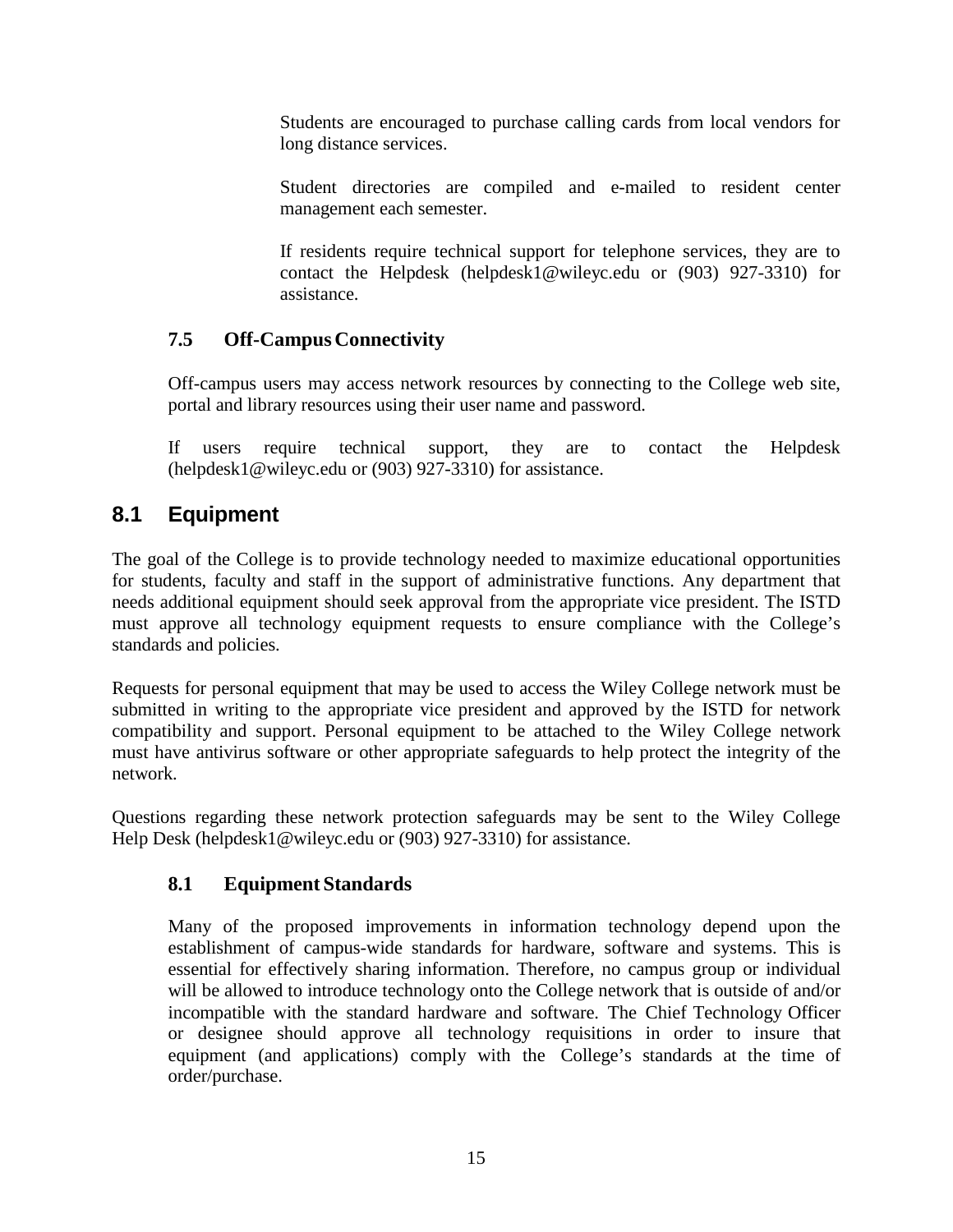Students are encouraged to purchase calling cards from local vendors for long distance services.

Student directories are compiled and e-mailed to resident center management each semester.

If residents require technical support for telephone services, they are to contact the Helpdesk [\(helpdesk1@wileyc.edu](mailto:(helpdesk1@wileyc.edu) or (903) 927-3310) for assistance.

# <span id="page-14-0"></span>**7.5 Off-CampusConnectivity**

Off-campus users may access network resources by connecting to the College web site, portal and library resources using their user name and password.

If users require technical support, they are to contact the Helpdes[k](mailto:(helpdesk1@wileyc.edu) [\(helpdesk1@wileyc.edu](mailto:(helpdesk1@wileyc.edu) or (903) 927-3310) for assistance.

# <span id="page-14-1"></span>**8.1 Equipment**

The goal of the College is to provide technology needed to maximize educational opportunities for students, faculty and staff in the support of administrative functions. Any department that needs additional equipment should seek approval from the appropriate vice president. The ISTD must approve all technology equipment requests to ensure compliance with the College's standards and policies.

Requests for personal equipment that may be used to access the Wiley College network must be submitted in writing to the appropriate vice president and approved by the ISTD for network compatibility and support. Personal equipment to be attached to the Wiley College network must have antivirus software or other appropriate safeguards to help protect the integrity of the network.

<span id="page-14-2"></span>Questions regarding these network protection safeguards may be sent to the Wiley College Help Desk [\(helpdesk1@wileyc.edu](mailto:(helpdesk1@wileyc.edu) or (903) 927-3310) for assistance.

# **8.1 Equipment Standards**

Many of the proposed improvements in information technology depend upon the establishment of campus-wide standards for hardware, software and systems. This is essential for effectively sharing information. Therefore, no campus group or individual will be allowed to introduce technology onto the College network that is outside of and/or incompatible with the standard hardware and software. The Chief Technology Officer or designee should approve all technology requisitions in order to insure that equipment (and applications) comply with the College's standards at the time of order/purchase.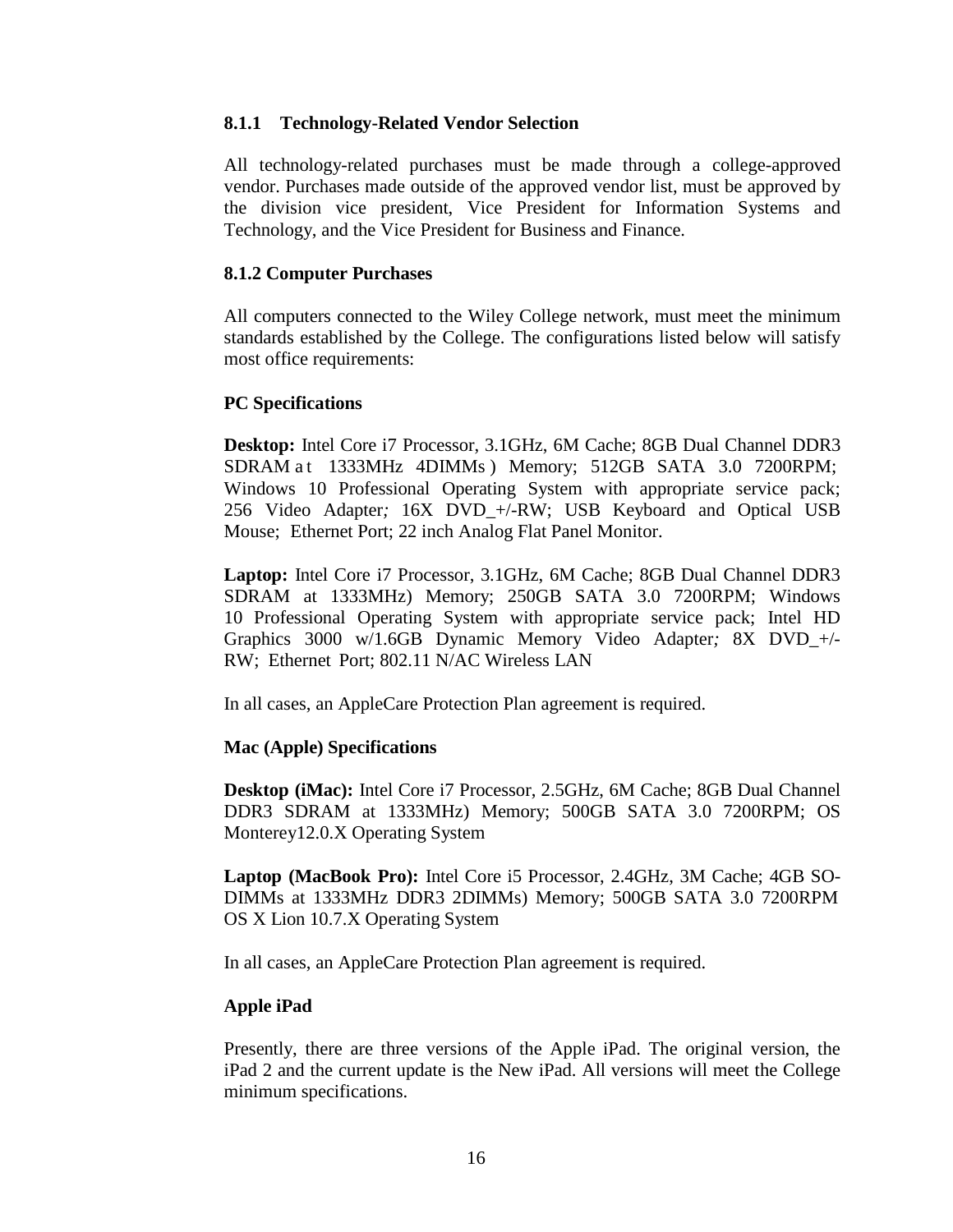#### <span id="page-15-0"></span>**8.1.1 Technology-Related Vendor Selection**

All technology-related purchases must be made through a college-approved vendor. Purchases made outside of the approved vendor list, must be approved by the division vice president, Vice President for Information Systems and Technology, and the Vice President for Business and Finance.

#### <span id="page-15-1"></span>**8.1.2 Computer Purchases**

All computers connected to the Wiley College network, must meet the minimum standards established by the College. The configurations listed below will satisfy most office requirements:

#### **PC Specifications**

**Desktop:** Intel Core i7 Processor, 3.1GHz, 6M Cache; 8GB Dual Channel DDR3 SDRAM at 1333MHz 4DIMMs) Memory; 512GB SATA 3.0 7200RPM; Windows 10 Professional Operating System with appropriate service pack; 256 Video Adapter*;* 16X DVD\_+/-RW; USB Keyboard and Optical USB Mouse; Ethernet Port; 22 inch Analog Flat Panel Monitor.

**Laptop:** Intel Core i7 Processor, 3.1GHz, 6M Cache; 8GB Dual Channel DDR3 SDRAM at 1333MHz) Memory; 250GB SATA 3.0 7200RPM; Windows 10 Professional Operating System with appropriate service pack; Intel HD Graphics 3000 w/1.6GB Dynamic Memory Video Adapter*;* 8X DVD\_+/- RW; Ethernet Port; 802.11 N/AC Wireless LAN

In all cases, an AppleCare Protection Plan agreement is required.

#### **Mac (Apple) Specifications**

**Desktop (iMac):** Intel Core i7 Processor, 2.5GHz, 6M Cache; 8GB Dual Channel DDR3 SDRAM at 1333MHz) Memory; 500GB SATA 3.0 7200RPM; OS Monterey12.0.X Operating System

**Laptop (MacBook Pro):** Intel Core i5 Processor, 2.4GHz, 3M Cache; 4GB SO-DIMMs at 1333MHz DDR3 2DIMMs) Memory; 500GB SATA 3.0 7200RPM OS X Lion 10.7.X Operating System

In all cases, an AppleCare Protection Plan agreement is required.

#### **Apple iPad**

Presently, there are three versions of the Apple iPad. The original version, the iPad 2 and the current update is the New iPad. All versions will meet the College minimum specifications.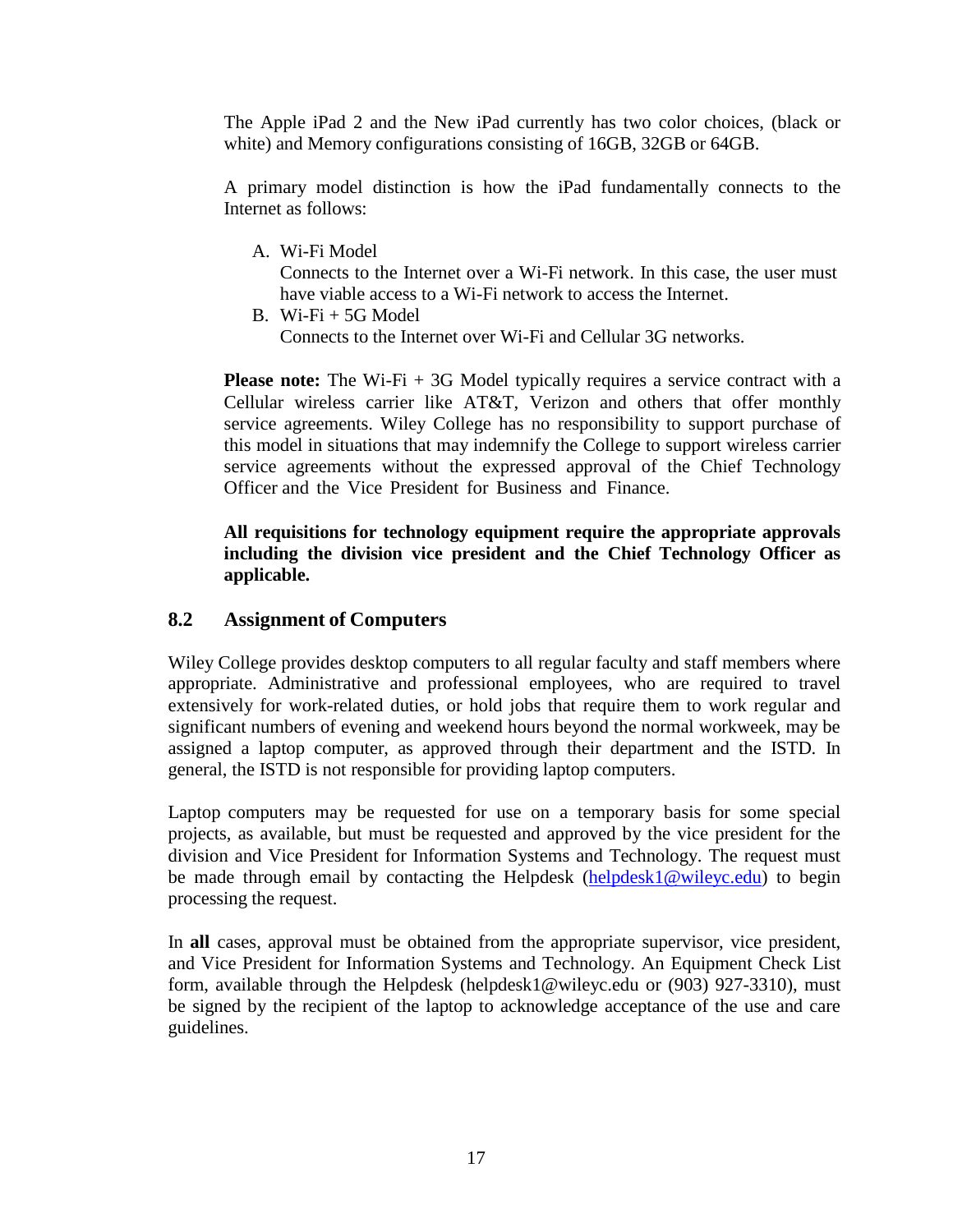The Apple iPad 2 and the New iPad currently has two color choices, (black or white) and Memory configurations consisting of 16GB, 32GB or 64GB.

A primary model distinction is how the iPad fundamentally connects to the Internet as follows:

A. Wi-Fi Model

Connects to the Internet over a Wi-Fi network. In this case, the user must have viable access to a Wi-Fi network to access the Internet.

**Please note:** The Wi-Fi + 3G Model typically requires a service contract with a Cellular wireless carrier like AT&T, Verizon and others that offer monthly service agreements. Wiley College has no responsibility to support purchase of this model in situations that may indemnify the College to support wireless carrier service agreements without the expressed approval of the Chief Technology Officer and the Vice President for Business and Finance.

#### **All requisitions for technology equipment require the appropriate approvals including the division vice president and the Chief Technology Officer as applicable.**

#### <span id="page-16-0"></span>**8.2 Assignment of Computers**

Wiley College provides desktop computers to all regular faculty and staff members where appropriate. Administrative and professional employees, who are required to travel extensively for work-related duties, or hold jobs that require them to work regular and significant numbers of evening and weekend hours beyond the normal workweek, may be assigned a laptop computer, as approved through their department and the ISTD. In general, the ISTD is not responsible for providing laptop computers.

Laptop computers may be requested for use on a temporary basis for some special projects, as available, but must be requested and approved by the vice president for the division and Vice President for Information Systems and Technology. The request must be made through email by contacting the Helpdesk [\(helpdesk1@wileyc.edu\)](mailto:helpdesk1@wileyc.edu) to begin processing the request.

In **all** cases, approval must be obtained from the appropriate supervisor, vice president, and Vice President for Information Systems and Technology. An Equipment Check List form, available through the Helpdesk [\(helpdesk1@wileyc.edu](mailto:(helpdesk1@wileyc.edu) or (903) 927-3310), must be signed by the recipient of the laptop to acknowledge acceptance of the use and care guidelines.

B. Wi-Fi  $+$  5G Model Connects to the Internet over Wi-Fi and Cellular 3G networks.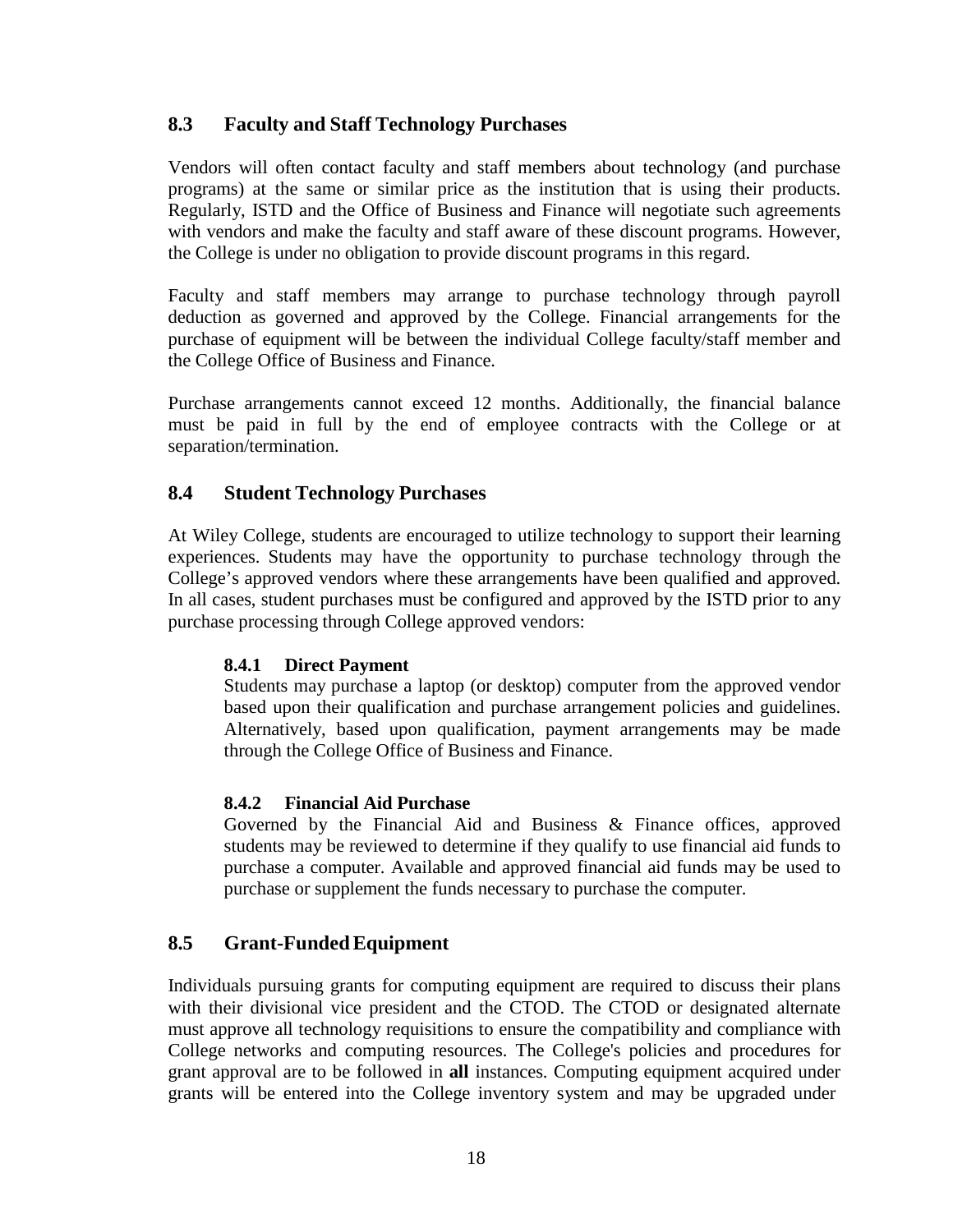## <span id="page-17-0"></span>**8.3 Faculty and Staff Technology Purchases**

Vendors will often contact faculty and staff members about technology (and purchase programs) at the same or similar price as the institution that is using their products. Regularly, ISTD and the Office of Business and Finance will negotiate such agreements with vendors and make the faculty and staff aware of these discount programs. However, the College is under no obligation to provide discount programs in this regard.

Faculty and staff members may arrange to purchase technology through payroll deduction as governed and approved by the College. Financial arrangements for the purchase of equipment will be between the individual College faculty/staff member and the College Office of Business and Finance.

Purchase arrangements cannot exceed 12 months. Additionally, the financial balance must be paid in full by the end of employee contracts with the College or at separation/termination.

#### <span id="page-17-1"></span>**8.4 Student Technology Purchases**

At Wiley College, students are encouraged to utilize technology to support their learning experiences. Students may have the opportunity to purchase technology through the College's approved vendors where these arrangements have been qualified and approved. In all cases, student purchases must be configured and approved by the ISTD prior to any purchase processing through College approved vendors:

#### <span id="page-17-2"></span>**8.4.1 Direct Payment**

Students may purchase a laptop (or desktop) computer from the approved vendor based upon their qualification and purchase arrangement policies and guidelines. Alternatively, based upon qualification, payment arrangements may be made through the College Office of Business and Finance.

#### <span id="page-17-3"></span>**8.4.2 Financial Aid Purchase**

Governed by the Financial Aid and Business & Finance offices, approved students may be reviewed to determine if they qualify to use financial aid funds to purchase a computer. Available and approved financial aid funds may be used to purchase or supplement the funds necessary to purchase the computer.

#### <span id="page-17-4"></span>**8.5 Grant-FundedEquipment**

Individuals pursuing grants for computing equipment are required to discuss their plans with their divisional vice president and the CTOD. The CTOD or designated alternate must approve all technology requisitions to ensure the compatibility and compliance with College networks and computing resources. The College's policies and procedures for grant approval are to be followed in **all** instances. Computing equipment acquired under grants will be entered into the College inventory system and may be upgraded under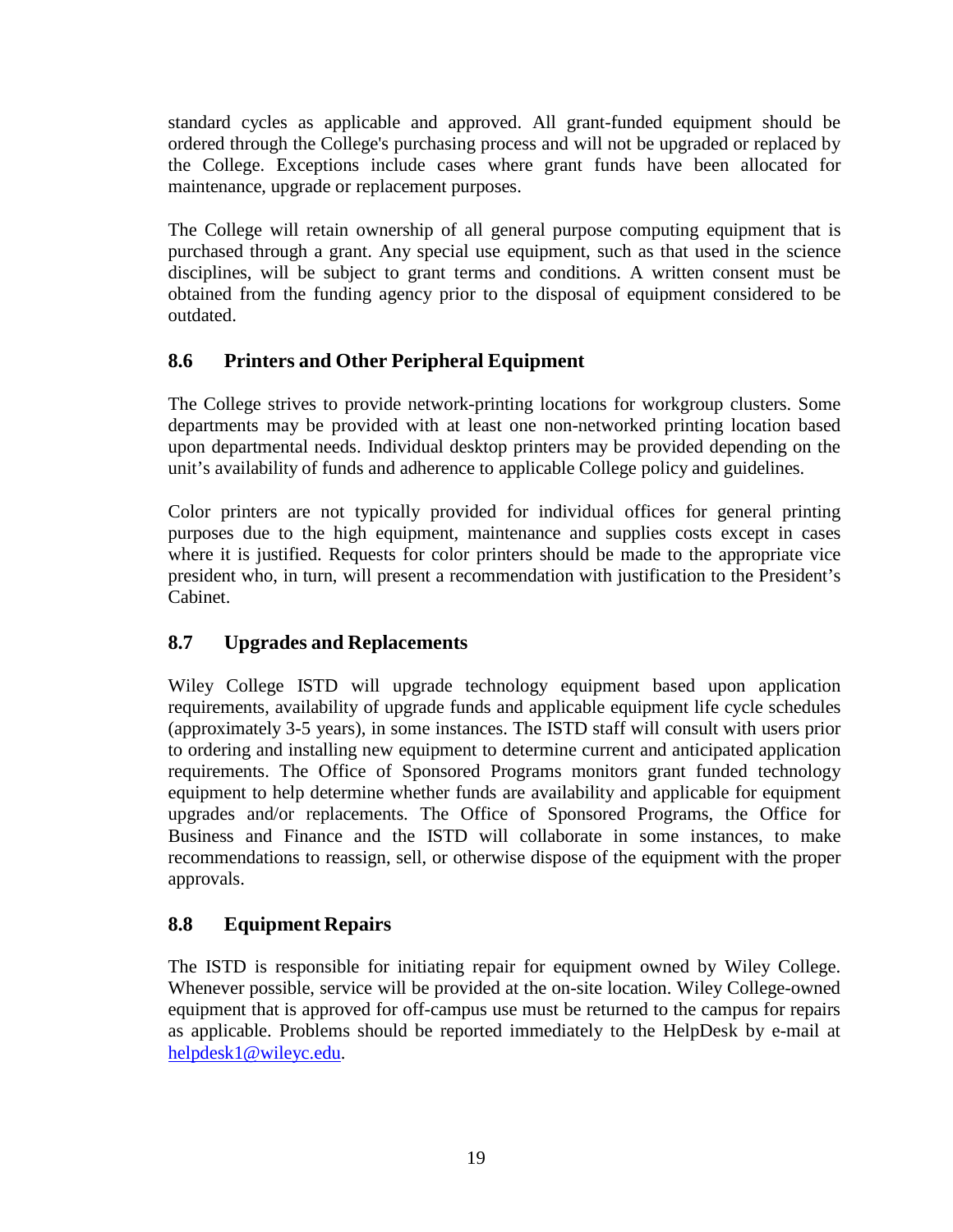standard cycles as applicable and approved. All grant-funded equipment should be ordered through the College's purchasing process and will not be upgraded or replaced by the College. Exceptions include cases where grant funds have been allocated for maintenance, upgrade or replacement purposes.

The College will retain ownership of all general purpose computing equipment that is purchased through a grant. Any special use equipment, such as that used in the science disciplines, will be subject to grant terms and conditions. A written consent must be obtained from the funding agency prior to the disposal of equipment considered to be outdated.

# <span id="page-18-0"></span>**8.6 Printers and Other Peripheral Equipment**

The College strives to provide network-printing locations for workgroup clusters. Some departments may be provided with at least one non-networked printing location based upon departmental needs. Individual desktop printers may be provided depending on the unit's availability of funds and adherence to applicable College policy and guidelines.

Color printers are not typically provided for individual offices for general printing purposes due to the high equipment, maintenance and supplies costs except in cases where it is justified. Requests for color printers should be made to the appropriate vice president who, in turn, will present a recommendation with justification to the President's Cabinet.

# <span id="page-18-1"></span>**8.7 Upgrades and Replacements**

Wiley College ISTD will upgrade technology equipment based upon application requirements, availability of upgrade funds and applicable equipment life cycle schedules (approximately 3-5 years), in some instances. The ISTD staff will consult with users prior to ordering and installing new equipment to determine current and anticipated application requirements. The Office of Sponsored Programs monitors grant funded technology equipment to help determine whether funds are availability and applicable for equipment upgrades and/or replacements. The Office of Sponsored Programs, the Office for Business and Finance and the ISTD will collaborate in some instances, to make recommendations to reassign, sell, or otherwise dispose of the equipment with the proper approvals.

# <span id="page-18-2"></span>**8.8 Equipment Repairs**

The ISTD is responsible for initiating repair for equipment owned by Wiley College. Whenever possible, service will be provided at the on-site location. Wiley College-owned equipment that is approved for off-campus use must be returned to the campus for repairs as applicable. Problems should be reported immediately to the HelpDesk by e-mail at [helpdesk1@wileyc.edu.](mailto:helpdesk1@wileyc.edu)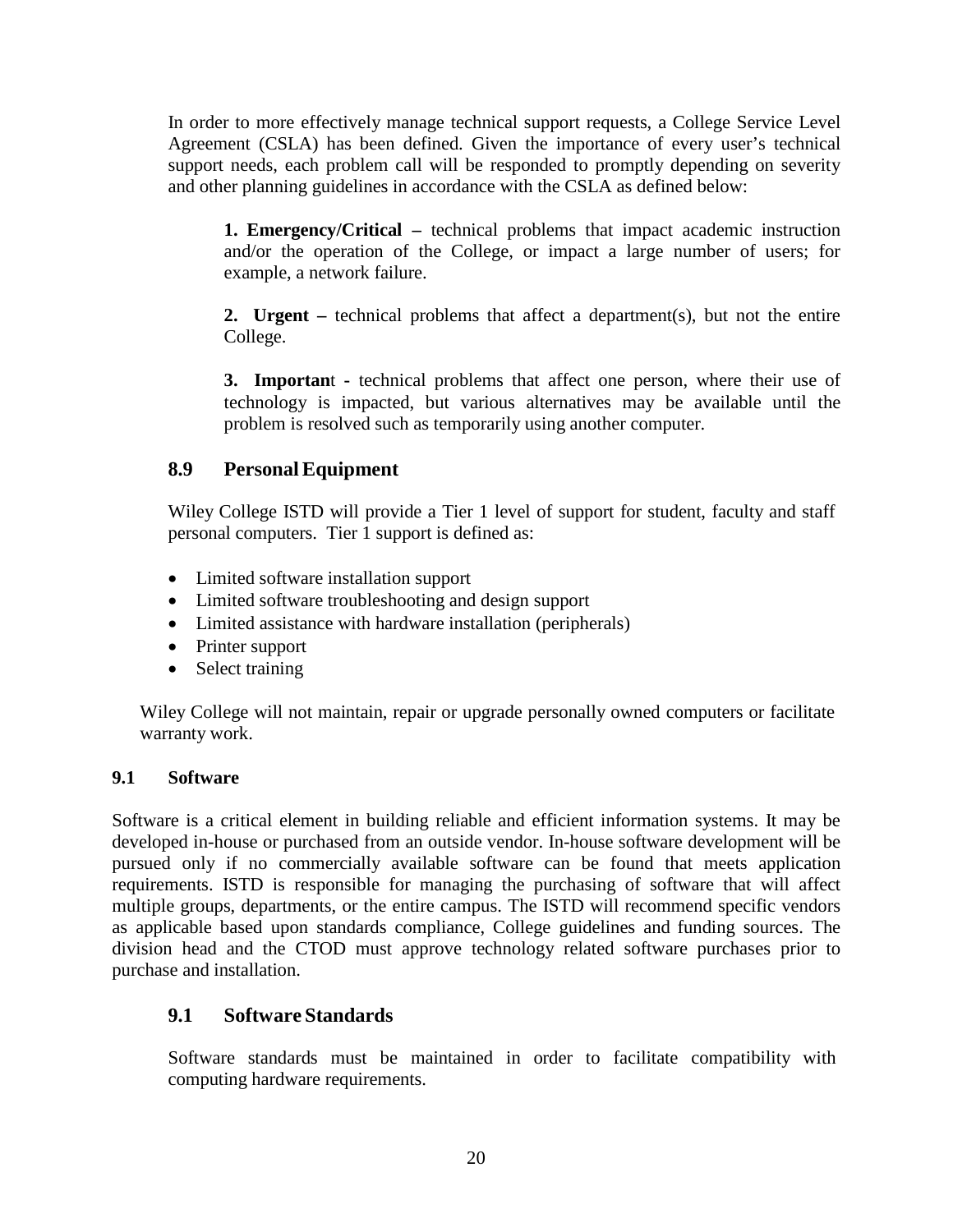In order to more effectively manage technical support requests, a College Service Level Agreement (CSLA) has been defined. Given the importance of every user's technical support needs, each problem call will be responded to promptly depending on severity and other planning guidelines in accordance with the CSLA as defined below:

**1. Emergency/Critical –** technical problems that impact academic instruction and/or the operation of the College, or impact a large number of users; for example, a network failure.

**2. Urgent –** technical problems that affect a department(s), but not the entire College.

**3. Importan**t **-** technical problems that affect one person, where their use of technology is impacted, but various alternatives may be available until the problem is resolved such as temporarily using another computer.

# <span id="page-19-0"></span>**8.9 Personal Equipment**

Wiley College ISTD will provide a Tier 1 level of support for student, faculty and staff personal computers. Tier 1 support is defined as:

- Limited software installation support
- Limited software troubleshooting and design support
- Limited assistance with hardware installation (peripherals)
- Printer support
- Select training

Wiley College will not maintain, repair or upgrade personally owned computers or facilitate warranty work.

#### <span id="page-19-1"></span>**9.1 Software**

Software is a critical element in building reliable and efficient information systems. It may be developed in-house or purchased from an outside vendor. In-house software development will be pursued only if no commercially available software can be found that meets application requirements. ISTD is responsible for managing the purchasing of software that will affect multiple groups, departments, or the entire campus. The ISTD will recommend specific vendors as applicable based upon standards compliance, College guidelines and funding sources. The division head and the CTOD must approve technology related software purchases prior to purchase and installation.

# <span id="page-19-2"></span>**9.1 Software Standards**

Software standards must be maintained in order to facilitate compatibility with computing hardware requirements.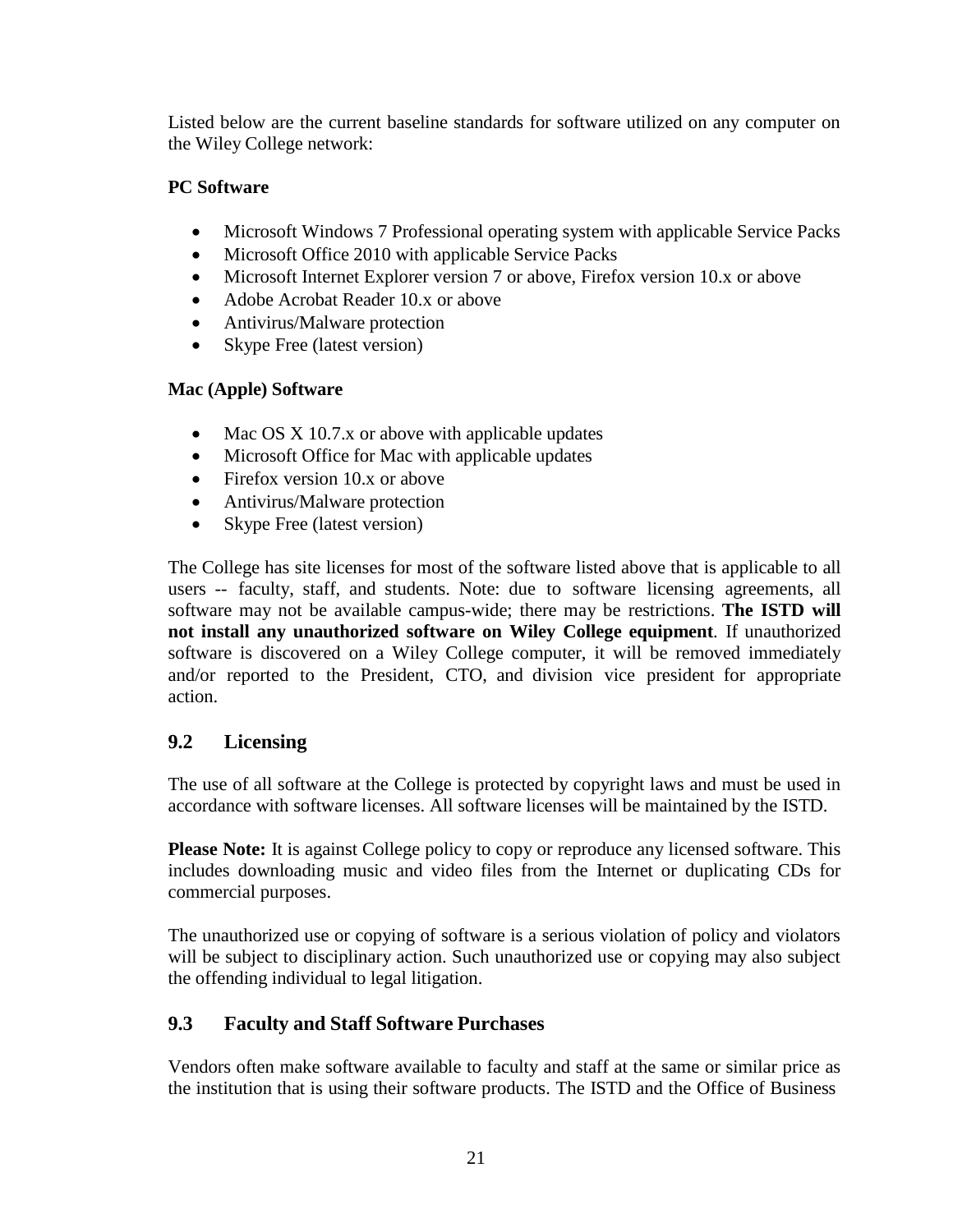Listed below are the current baseline standards for software utilized on any computer on the Wiley College network:

### **PC Software**

- Microsoft Windows 7 Professional operating system with applicable Service Packs
- Microsoft Office 2010 with applicable Service Packs
- Microsoft Internet Explorer version 7 or above, Firefox version 10.x or above
- Adobe Acrobat Reader 10.x or above
- Antivirus/Malware protection
- Skype Free (latest version)

### **Mac (Apple) Software**

- Mac OS X 10.7.x or above with applicable updates
- Microsoft Office for Mac with applicable updates
- Firefox version 10.x or above
- Antivirus/Malware protection
- Skype Free (latest version)

The College has site licenses for most of the software listed above that is applicable to all users -- faculty, staff, and students. Note: due to software licensing agreements, all software may not be available campus-wide; there may be restrictions. **The ISTD will not install any unauthorized software on Wiley College equipment**. If unauthorized software is discovered on a Wiley College computer, it will be removed immediately and/or reported to the President, CTO, and division vice president for appropriate action.

# <span id="page-20-0"></span>**9.2 Licensing**

The use of all software at the College is protected by copyright laws and must be used in accordance with software licenses. All software licenses will be maintained by the ISTD.

**Please Note:** It is against College policy to copy or reproduce any licensed software. This includes downloading music and video files from the Internet or duplicating CDs for commercial purposes.

The unauthorized use or copying of software is a serious violation of policy and violators will be subject to disciplinary action. Such unauthorized use or copying may also subject the offending individual to legal litigation.

# <span id="page-20-1"></span>**9.3 Faculty and Staff Software Purchases**

Vendors often make software available to faculty and staff at the same or similar price as the institution that is using their software products. The ISTD and the Office of Business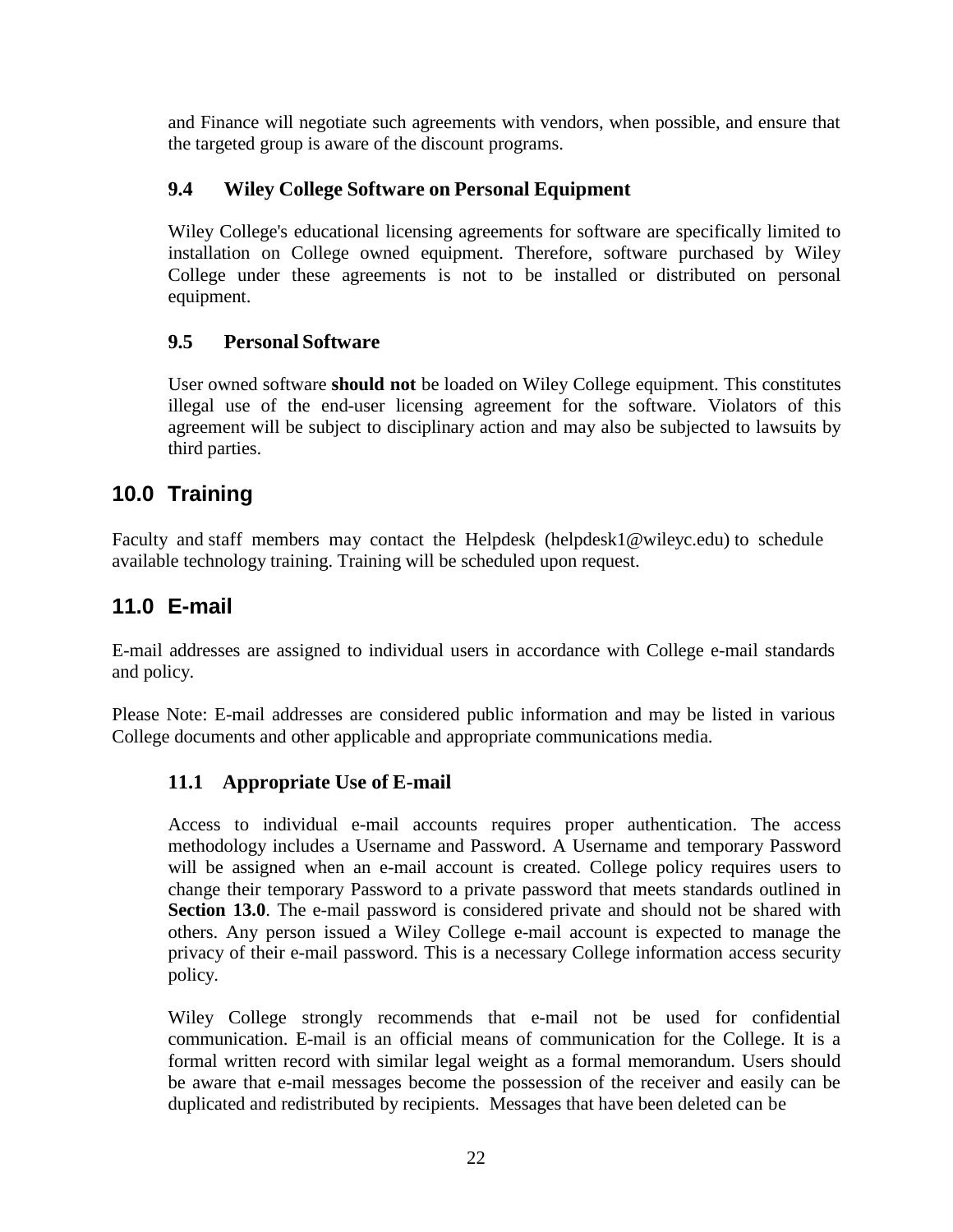and Finance will negotiate such agreements with vendors, when possible, and ensure that the targeted group is aware of the discount programs.

# <span id="page-21-0"></span>**9.4 Wiley College Software on Personal Equipment**

Wiley College's educational licensing agreements for software are specifically limited to installation on College owned equipment. Therefore, software purchased by Wiley College under these agreements is not to be installed or distributed on personal equipment.

# <span id="page-21-1"></span>**9.5 Personal Software**

User owned software **should not** be loaded on Wiley College equipment. This constitutes illegal use of the end-user licensing agreement for the software. Violators of this agreement will be subject to disciplinary action and may also be subjected to lawsuits by third parties.

# <span id="page-21-2"></span>**10.0 Training**

Faculty and staff members may contact the Helpdesk (helpdesk1@wileyc.edu) to schedule available technology training. Training will be scheduled upon request.

# <span id="page-21-3"></span>**11.0 E-mail**

E-mail addresses are assigned to individual users in accordance with College e-mail standards and policy.

<span id="page-21-4"></span>Please Note: E-mail addresses are considered public information and may be listed in various College documents and other applicable and appropriate communications media.

# **11.1 Appropriate Use of E-mail**

Access to individual e-mail accounts requires proper authentication. The access methodology includes a Username and Password. A Username and temporary Password will be assigned when an e-mail account is created. College policy requires users to change their temporary Password to a private password that meets standards outlined in **Section 13.0**. The e-mail password is considered private and should not be shared with others. Any person issued a Wiley College e-mail account is expected to manage the privacy of their e-mail password. This is a necessary College information access security policy.

Wiley College strongly recommends that e-mail not be used for confidential communication. E-mail is an official means of communication for the College. It is a formal written record with similar legal weight as a formal memorandum. Users should be aware that e-mail messages become the possession of the receiver and easily can be duplicated and redistributed by recipients. Messages that have been deleted can be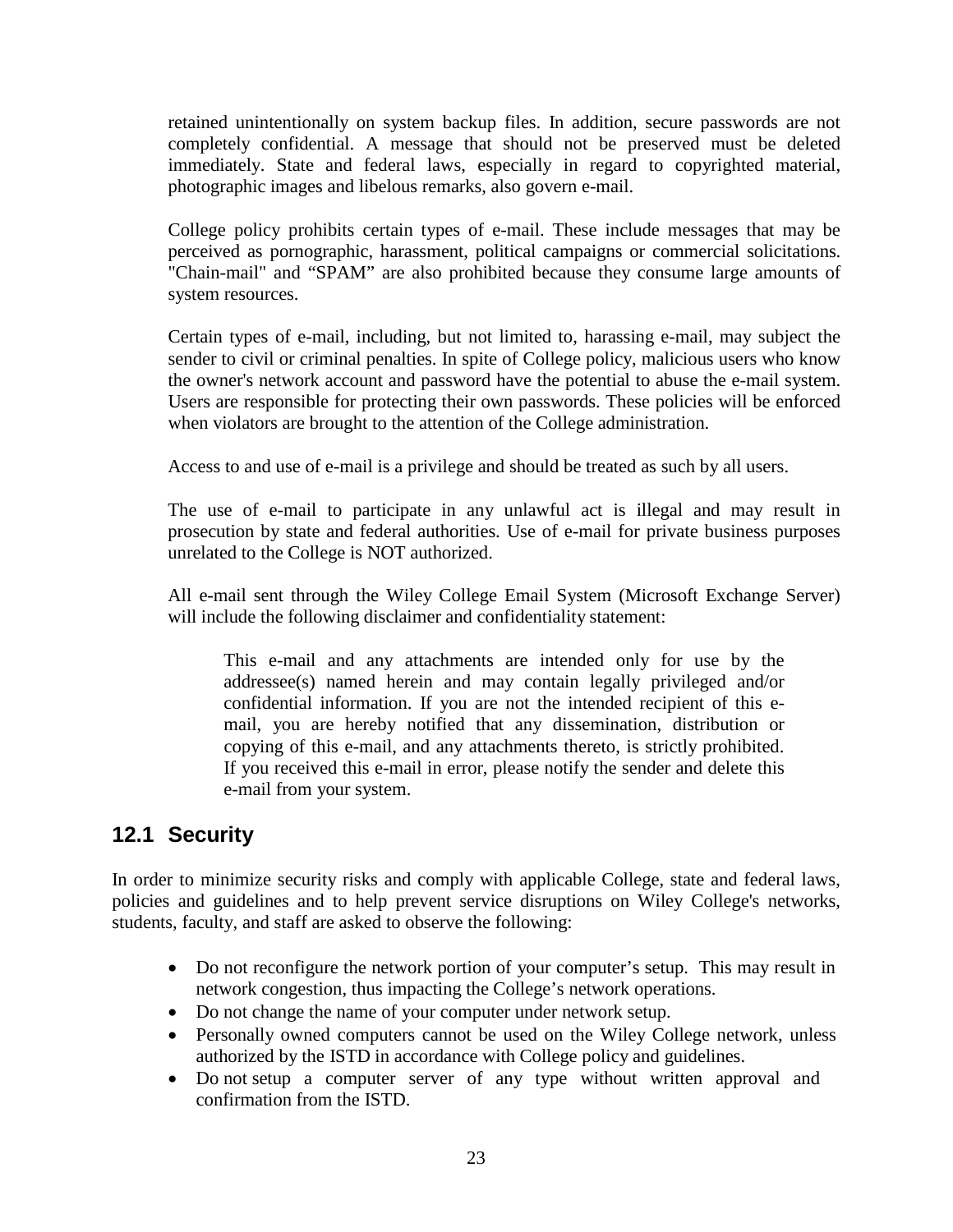retained unintentionally on system backup files. In addition, secure passwords are not completely confidential. A message that should not be preserved must be deleted immediately. State and federal laws, especially in regard to copyrighted material, photographic images and libelous remarks, also govern e-mail.

College policy prohibits certain types of e-mail. These include messages that may be perceived as pornographic, harassment, political campaigns or commercial solicitations. "Chain-mail" and "SPAM" are also prohibited because they consume large amounts of system resources.

Certain types of e-mail, including, but not limited to, harassing e-mail, may subject the sender to civil or criminal penalties. In spite of College policy, malicious users who know the owner's network account and password have the potential to abuse the e-mail system. Users are responsible for protecting their own passwords. These policies will be enforced when violators are brought to the attention of the College administration.

Access to and use of e-mail is a privilege and should be treated as such by all users.

The use of e-mail to participate in any unlawful act is illegal and may result in prosecution by state and federal authorities. Use of e-mail for private business purposes unrelated to the College is NOT authorized.

All e-mail sent through the Wiley College Email System (Microsoft Exchange Server) will include the following disclaimer and confidentiality statement:

This e-mail and any attachments are intended only for use by the addressee(s) named herein and may contain legally privileged and/or confidential information. If you are not the intended recipient of this email, you are hereby notified that any dissemination, distribution or copying of this e-mail, and any attachments thereto, is strictly prohibited. If you received this e-mail in error, please notify the sender and delete this e-mail from your system.

# <span id="page-22-0"></span>**12.1 Security**

In order to minimize security risks and comply with applicable College, state and federal laws, policies and guidelines and to help prevent service disruptions on Wiley College's networks, students, faculty, and staff are asked to observe the following:

- Do not reconfigure the network portion of your computer's setup. This may result in network congestion, thus impacting the College's network operations.
- Do not change the name of your computer under network setup.
- Personally owned computers cannot be used on the Wiley College network, unless authorized by the ISTD in accordance with College policy and guidelines.
- Do not setup a computer server of any type without written approval and confirmation from the ISTD.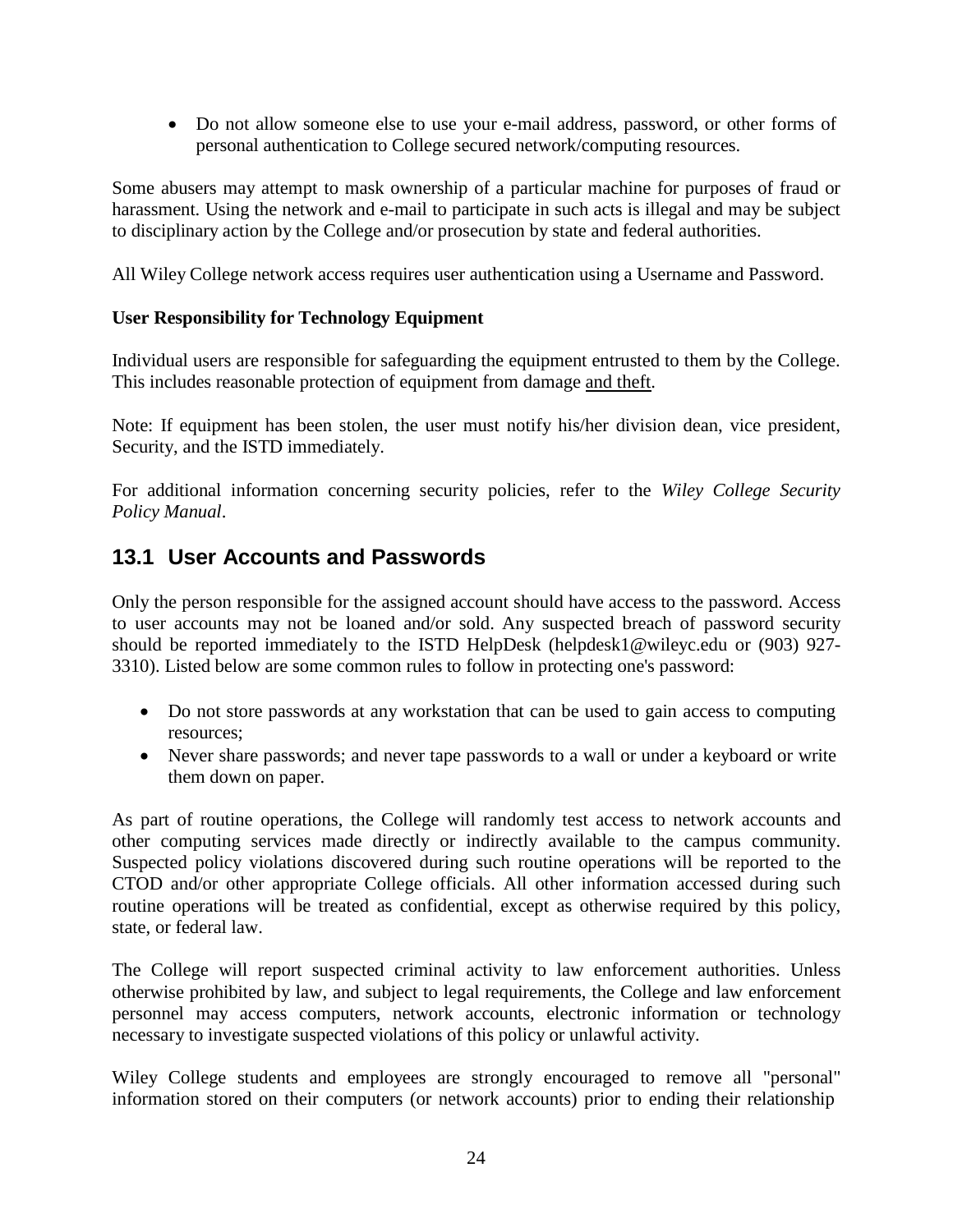• Do not allow someone else to use your e-mail address, password, or other forms of personal authentication to College secured network/computing resources.

Some abusers may attempt to mask ownership of a particular machine for purposes of fraud or harassment. Using the network and e-mail to participate in such acts is illegal and may be subject to disciplinary action by the College and/or prosecution by state and federal authorities.

All Wiley College network access requires user authentication using a Username and Password.

#### **User Responsibility for Technology Equipment**

Individual users are responsible for safeguarding the equipment entrusted to them by the College. This includes reasonable protection of equipment from damage and theft.

Note: If equipment has been stolen, the user must notify his/her division dean, vice president, Security, and the ISTD immediately.

For additional information concerning security policies, refer to the *Wiley College Security Policy Manual*.

# <span id="page-23-0"></span>**13.1 User Accounts and Passwords**

Only the person responsible for the assigned account should have access to the password. Access to user accounts may not be loaned and/or sold. Any suspected breach of password security should be reported immediately to the ISTD HelpDesk [\(helpdesk1@wileyc.edu](mailto:(helpdesk1@wileyc.edu) or (903) 927- 3310). Listed below are some common rules to follow in protecting one's password:

- Do not store passwords at any workstation that can be used to gain access to computing resources;
- Never share passwords; and never tape passwords to a wall or under a keyboard or write them down on paper.

As part of routine operations, the College will randomly test access to network accounts and other computing services made directly or indirectly available to the campus community. Suspected policy violations discovered during such routine operations will be reported to the CTOD and/or other appropriate College officials. All other information accessed during such routine operations will be treated as confidential, except as otherwise required by this policy, state, or federal law.

The College will report suspected criminal activity to law enforcement authorities. Unless otherwise prohibited by law, and subject to legal requirements, the College and law enforcement personnel may access computers, network accounts, electronic information or technology necessary to investigate suspected violations of this policy or unlawful activity.

Wiley College students and employees are strongly encouraged to remove all "personal" information stored on their computers (or network accounts) prior to ending their relationship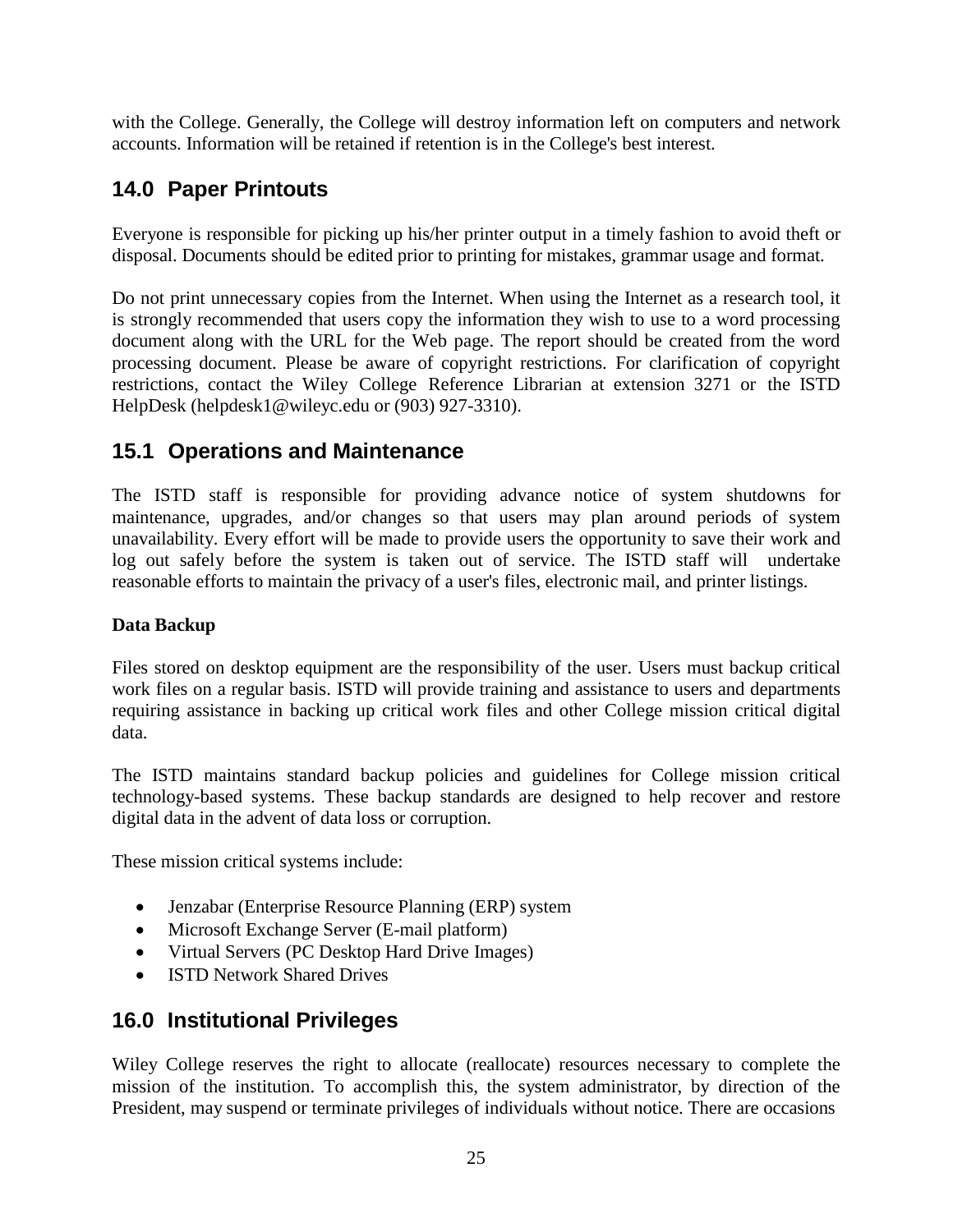with the College. Generally, the College will destroy information left on computers and network accounts. Information will be retained if retention is in the College's best interest.

# <span id="page-24-0"></span>**14.0 Paper Printouts**

Everyone is responsible for picking up his/her printer output in a timely fashion to avoid theft or disposal. Documents should be edited prior to printing for mistakes, grammar usage and format.

Do not print unnecessary copies from the Internet. When using the Internet as a research tool, it is strongly recommended that users copy the information they wish to use to a word processing document along with the URL for the Web page. The report should be created from the word processing document. Please be aware of copyright restrictions. For clarification of copyright restrictions, contact the Wiley College Reference Librarian at extension 3271 or the ISTD HelpDesk [\(helpdesk1@wileyc.edu](mailto:(helpdesk1@wileyc.edu) or (903) 927-3310).

# <span id="page-24-1"></span>**15.1 Operations and Maintenance**

The ISTD staff is responsible for providing advance notice of system shutdowns for maintenance, upgrades, and/or changes so that users may plan around periods of system unavailability. Every effort will be made to provide users the opportunity to save their work and log out safely before the system is taken out of service. The ISTD staff will undertake reasonable efforts to maintain the privacy of a user's files, electronic mail, and printer listings.

## **Data Backup**

Files stored on desktop equipment are the responsibility of the user. Users must backup critical work files on a regular basis. ISTD will provide training and assistance to users and departments requiring assistance in backing up critical work files and other College mission critical digital data.

The ISTD maintains standard backup policies and guidelines for College mission critical technology-based systems. These backup standards are designed to help recover and restore digital data in the advent of data loss or corruption.

These mission critical systems include:

- Jenzabar (Enterprise Resource Planning (ERP) system
- Microsoft Exchange Server (E-mail platform)
- Virtual Servers (PC Desktop Hard Drive Images)
- ISTD Network Shared Drives

# <span id="page-24-2"></span>**16.0 Institutional Privileges**

Wiley College reserves the right to allocate (reallocate) resources necessary to complete the mission of the institution. To accomplish this, the system administrator, by direction of the President, may suspend or terminate privileges of individuals without notice. There are occasions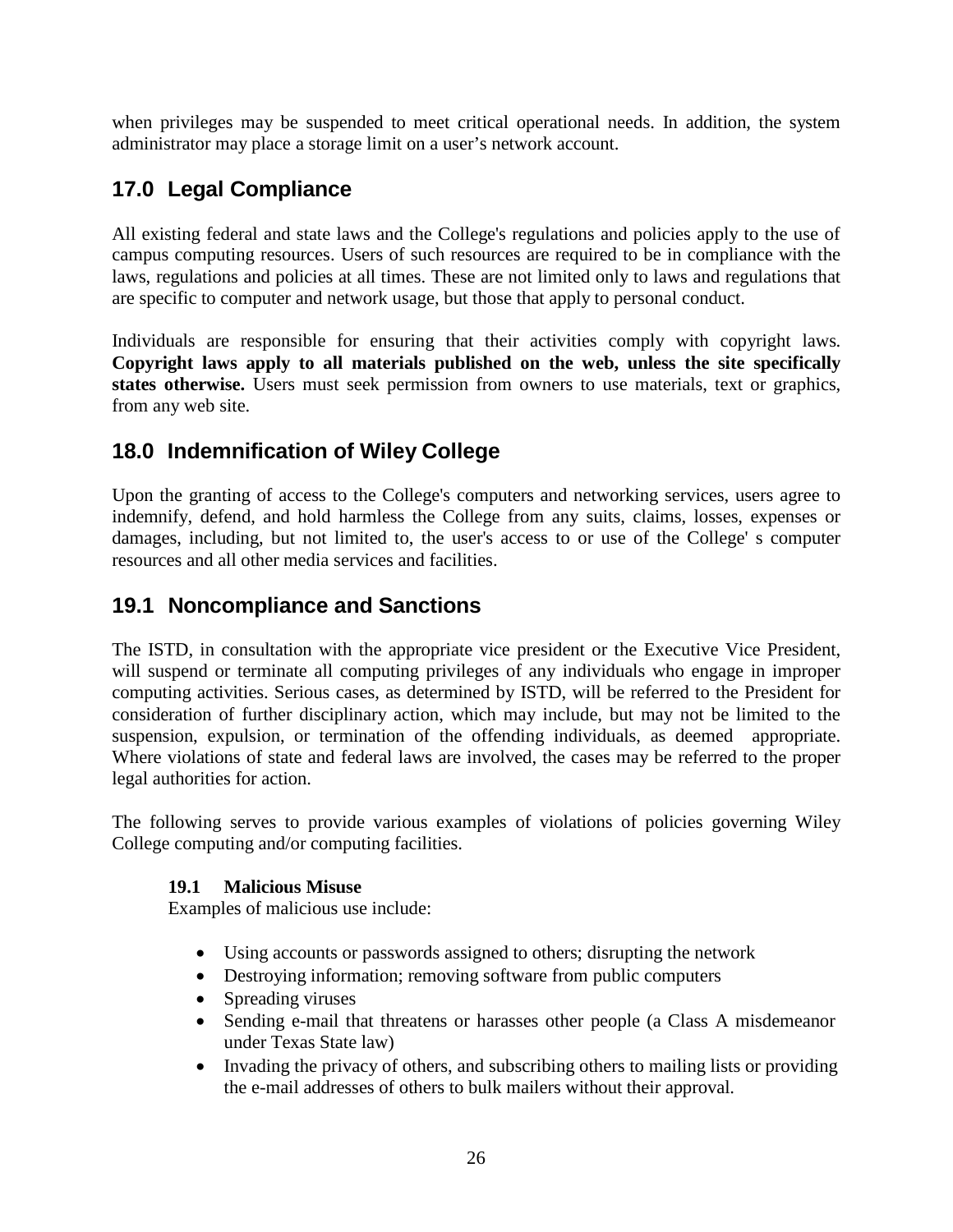when privileges may be suspended to meet critical operational needs. In addition, the system administrator may place a storage limit on a user's network account.

# <span id="page-25-0"></span>**17.0 Legal Compliance**

All existing federal and state laws and the College's regulations and policies apply to the use of campus computing resources. Users of such resources are required to be in compliance with the laws, regulations and policies at all times. These are not limited only to laws and regulations that are specific to computer and network usage, but those that apply to personal conduct.

Individuals are responsible for ensuring that their activities comply with copyright laws. **Copyright laws apply to all materials published on the web, unless the site specifically states otherwise.** Users must seek permission from owners to use materials, text or graphics, from any web site.

# <span id="page-25-1"></span>**18.0 Indemnification of Wiley College**

Upon the granting of access to the College's computers and networking services, users agree to indemnify, defend, and hold harmless the College from any suits, claims, losses, expenses or damages, including, but not limited to, the user's access to or use of the College' s computer resources and all other media services and facilities.

# <span id="page-25-2"></span>**19.1 Noncompliance and Sanctions**

The ISTD, in consultation with the appropriate vice president or the Executive Vice President, will suspend or terminate all computing privileges of any individuals who engage in improper computing activities. Serious cases, as determined by ISTD, will be referred to the President for consideration of further disciplinary action, which may include, but may not be limited to the suspension, expulsion, or termination of the offending individuals, as deemed appropriate. Where violations of state and federal laws are involved, the cases may be referred to the proper legal authorities for action.

<span id="page-25-3"></span>The following serves to provide various examples of violations of policies governing Wiley College computing and/or computing facilities.

#### **19.1 Malicious Misuse**

Examples of malicious use include:

- Using accounts or passwords assigned to others; disrupting the network
- Destroying information; removing software from public computers
- Spreading viruses
- Sending e-mail that threatens or harasses other people (a Class A misdemeanor under Texas State law)
- Invading the privacy of others, and subscribing others to mailing lists or providing the e-mail addresses of others to bulk mailers without their approval.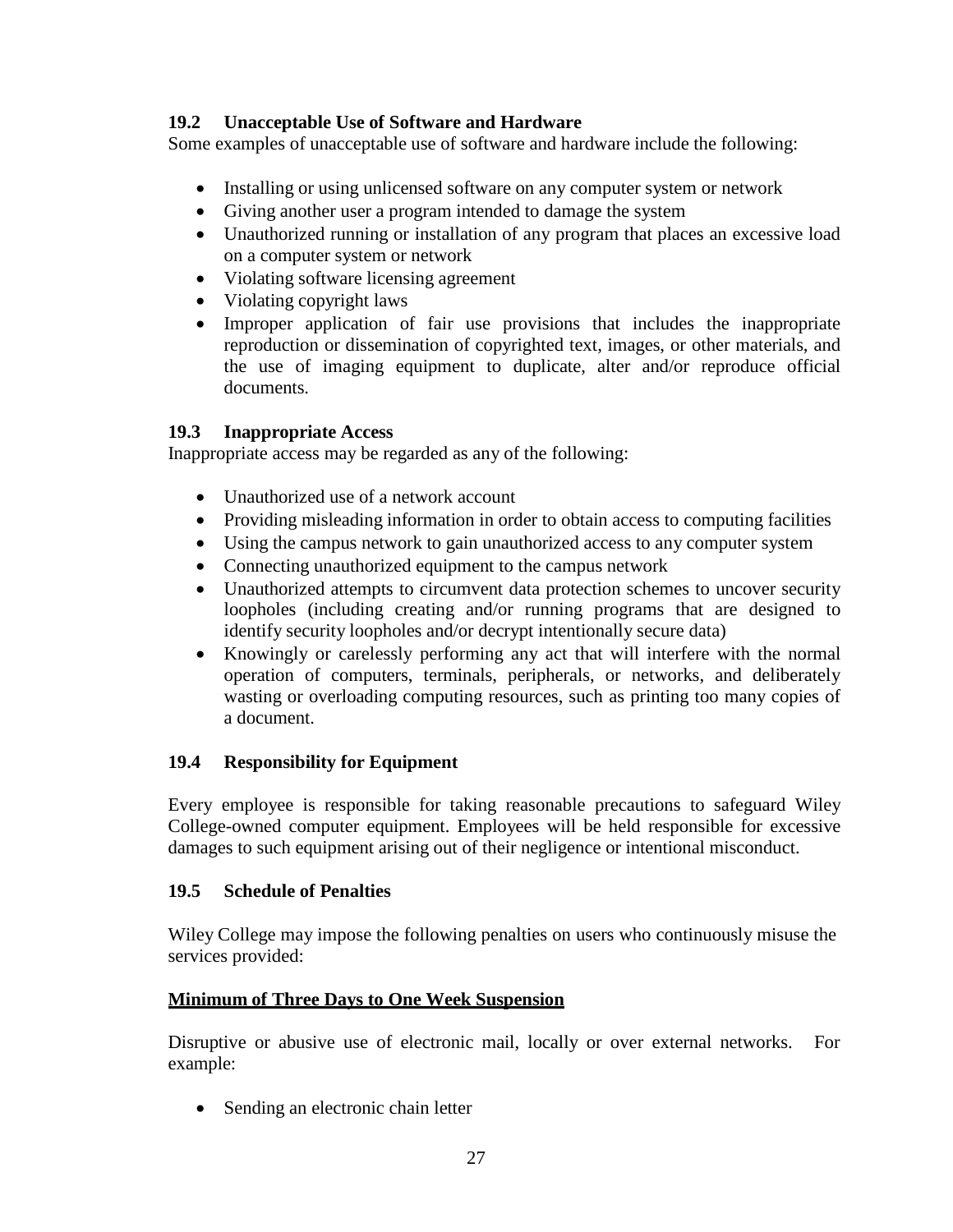### <span id="page-26-0"></span>**19.2 Unacceptable Use of Software and Hardware**

Some examples of unacceptable use of software and hardware include the following:

- Installing or using unlicensed software on any computer system or network
- Giving another user a program intended to damage the system
- Unauthorized running or installation of any program that places an excessive load on a computer system or network
- Violating software licensing agreement
- Violating copyright laws
- Improper application of fair use provisions that includes the inappropriate reproduction or dissemination of copyrighted text, images, or other materials, and the use of imaging equipment to duplicate, alter and/or reproduce official documents.

### <span id="page-26-1"></span>**19.3 Inappropriate Access**

Inappropriate access may be regarded as any of the following:

- Unauthorized use of a network account
- Providing misleading information in order to obtain access to computing facilities
- Using the campus network to gain unauthorized access to any computer system
- Connecting unauthorized equipment to the campus network
- Unauthorized attempts to circumvent data protection schemes to uncover security loopholes (including creating and/or running programs that are designed to identify security loopholes and/or decrypt intentionally secure data)
- Knowingly or carelessly performing any act that will interfere with the normal operation of computers, terminals, peripherals, or networks, and deliberately wasting or overloading computing resources, such as printing too many copies of a document.

# <span id="page-26-2"></span>**19.4 Responsibility for Equipment**

Every employee is responsible for taking reasonable precautions to safeguard Wiley College-owned computer equipment. Employees will be held responsible for excessive damages to such equipment arising out of their negligence or intentional misconduct.

#### <span id="page-26-3"></span>**19.5 Schedule of Penalties**

Wiley College may impose the following penalties on users who continuously misuse the services provided:

# **Minimum of Three Days to One Week Suspension**

Disruptive or abusive use of electronic mail, locally or over external networks. For example:

• Sending an electronic chain letter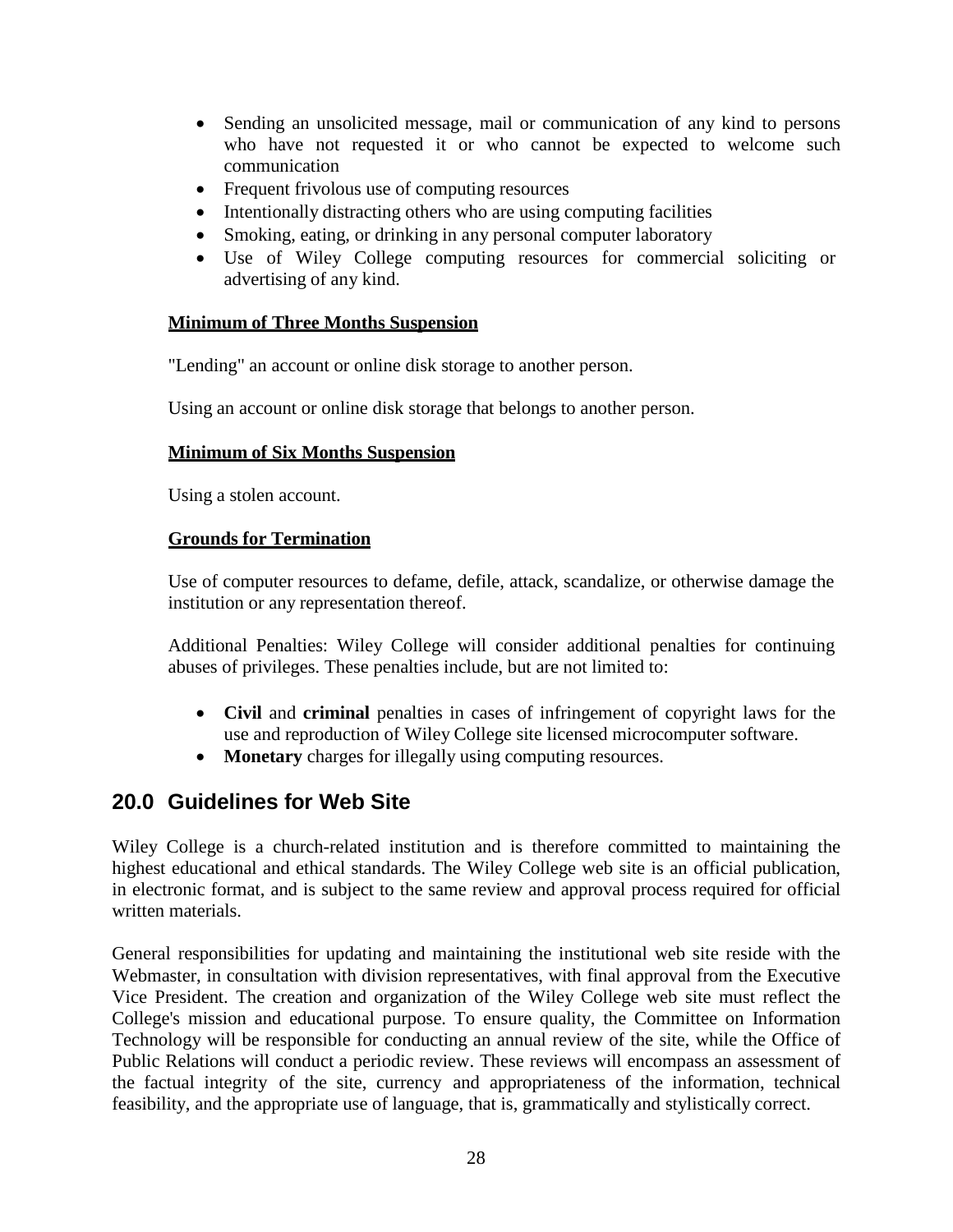- Sending an unsolicited message, mail or communication of any kind to persons who have not requested it or who cannot be expected to welcome such communication
- Frequent frivolous use of computing resources
- Intentionally distracting others who are using computing facilities
- Smoking, eating, or drinking in any personal computer laboratory
- Use of Wiley College computing resources for commercial soliciting or advertising of any kind.

#### **Minimum of Three Months Suspension**

"Lending" an account or online disk storage to another person.

Using an account or online disk storage that belongs to another person.

#### **Minimum of Six Months Suspension**

Using a stolen account.

#### **Grounds for Termination**

Use of computer resources to defame, defile, attack, scandalize, or otherwise damage the institution or any representation thereof.

Additional Penalties: Wiley College will consider additional penalties for continuing abuses of privileges. These penalties include, but are not limited to:

- **Civil** and **criminal** penalties in cases of infringement of copyright laws for the use and reproduction of Wiley College site licensed microcomputer software.
- **Monetary** charges for illegally using computing resources.

# <span id="page-27-0"></span>**20.0 Guidelines for Web Site**

Wiley College is a church-related institution and is therefore committed to maintaining the highest educational and ethical standards. The Wiley College web site is an official publication, in electronic format, and is subject to the same review and approval process required for official written materials.

General responsibilities for updating and maintaining the institutional web site reside with the Webmaster, in consultation with division representatives, with final approval from the Executive Vice President. The creation and organization of the Wiley College web site must reflect the College's mission and educational purpose. To ensure quality, the Committee on Information Technology will be responsible for conducting an annual review of the site, while the Office of Public Relations will conduct a periodic review. These reviews will encompass an assessment of the factual integrity of the site, currency and appropriateness of the information, technical feasibility, and the appropriate use of language, that is, grammatically and stylistically correct.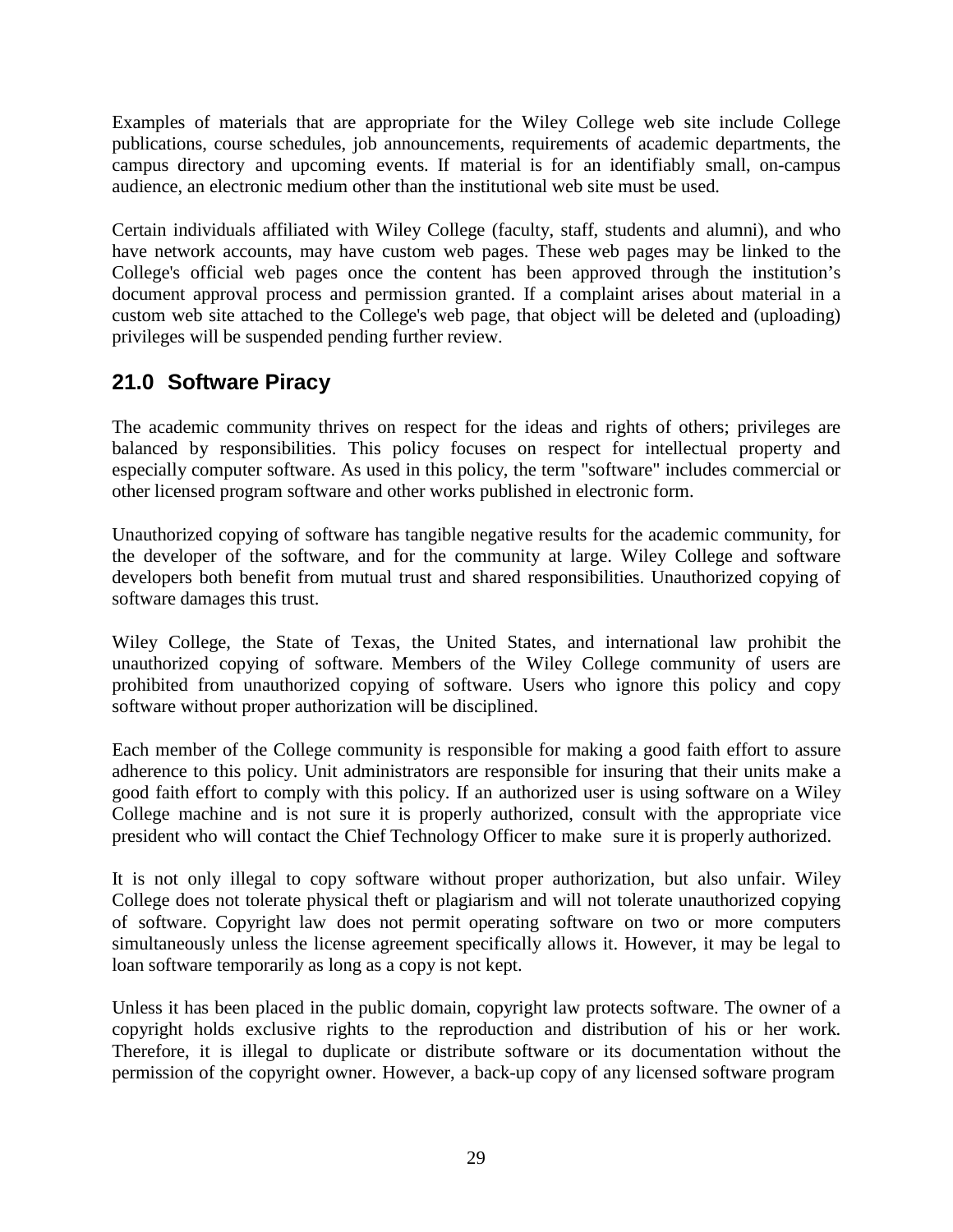Examples of materials that are appropriate for the Wiley College web site include College publications, course schedules, job announcements, requirements of academic departments, the campus directory and upcoming events. If material is for an identifiably small, on-campus audience, an electronic medium other than the institutional web site must be used.

Certain individuals affiliated with Wiley College (faculty, staff, students and alumni), and who have network accounts, may have custom web pages. These web pages may be linked to the College's official web pages once the content has been approved through the institution's document approval process and permission granted. If a complaint arises about material in a custom web site attached to the College's web page, that object will be deleted and (uploading) privileges will be suspended pending further review.

# <span id="page-28-0"></span>**21.0 Software Piracy**

The academic community thrives on respect for the ideas and rights of others; privileges are balanced by responsibilities. This policy focuses on respect for intellectual property and especially computer software. As used in this policy, the term "software" includes commercial or other licensed program software and other works published in electronic form.

Unauthorized copying of software has tangible negative results for the academic community, for the developer of the software, and for the community at large. Wiley College and software developers both benefit from mutual trust and shared responsibilities. Unauthorized copying of software damages this trust.

Wiley College, the State of Texas, the United States, and international law prohibit the unauthorized copying of software. Members of the Wiley College community of users are prohibited from unauthorized copying of software. Users who ignore this policy and copy software without proper authorization will be disciplined.

Each member of the College community is responsible for making a good faith effort to assure adherence to this policy. Unit administrators are responsible for insuring that their units make a good faith effort to comply with this policy. If an authorized user is using software on a Wiley College machine and is not sure it is properly authorized, consult with the appropriate vice president who will contact the Chief Technology Officer to make sure it is properly authorized.

It is not only illegal to copy software without proper authorization, but also unfair. Wiley College does not tolerate physical theft or plagiarism and will not tolerate unauthorized copying of software. Copyright law does not permit operating software on two or more computers simultaneously unless the license agreement specifically allows it. However, it may be legal to loan software temporarily as long as a copy is not kept.

Unless it has been placed in the public domain, copyright law protects software. The owner of a copyright holds exclusive rights to the reproduction and distribution of his or her work. Therefore, it is illegal to duplicate or distribute software or its documentation without the permission of the copyright owner. However, a back-up copy of any licensed software program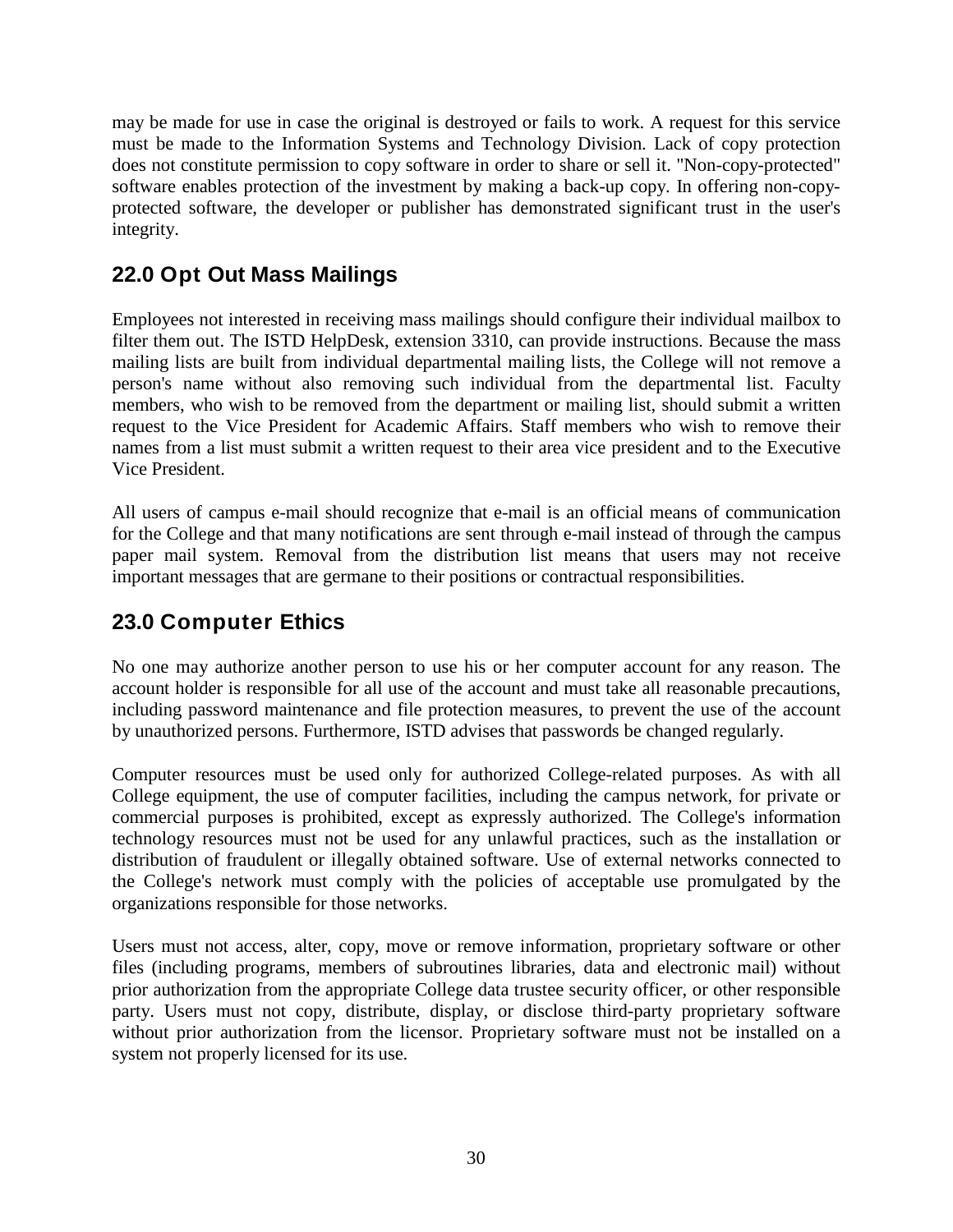may be made for use in case the original is destroyed or fails to work. A request for this service must be made to the Information Systems and Technology Division. Lack of copy protection does not constitute permission to copy software in order to share or sell it. "Non-copy-protected" software enables protection of the investment by making a back-up copy. In offering non-copyprotected software, the developer or publisher has demonstrated significant trust in the user's integrity.

# <span id="page-29-0"></span>**22.0 Opt Out Mass Mailings**

Employees not interested in receiving mass mailings should configure their individual mailbox to filter them out. The ISTD HelpDesk, extension 3310, can provide instructions. Because the mass mailing lists are built from individual departmental mailing lists, the College will not remove a person's name without also removing such individual from the departmental list. Faculty members, who wish to be removed from the department or mailing list, should submit a written request to the Vice President for Academic Affairs. Staff members who wish to remove their names from a list must submit a written request to their area vice president and to the Executive Vice President.

All users of campus e-mail should recognize that e-mail is an official means of communication for the College and that many notifications are sent through e-mail instead of through the campus paper mail system. Removal from the distribution list means that users may not receive important messages that are germane to their positions or contractual responsibilities.

# <span id="page-29-1"></span>**23.0 Computer Ethics**

No one may authorize another person to use his or her computer account for any reason. The account holder is responsible for all use of the account and must take all reasonable precautions, including password maintenance and file protection measures, to prevent the use of the account by unauthorized persons. Furthermore, ISTD advises that passwords be changed regularly.

Computer resources must be used only for authorized College-related purposes. As with all College equipment, the use of computer facilities, including the campus network, for private or commercial purposes is prohibited, except as expressly authorized. The College's information technology resources must not be used for any unlawful practices, such as the installation or distribution of fraudulent or illegally obtained software. Use of external networks connected to the College's network must comply with the policies of acceptable use promulgated by the organizations responsible for those networks.

Users must not access, alter, copy, move or remove information, proprietary software or other files (including programs, members of subroutines libraries, data and electronic mail) without prior authorization from the appropriate College data trustee security officer, or other responsible party. Users must not copy, distribute, display, or disclose third-party proprietary software without prior authorization from the licensor. Proprietary software must not be installed on a system not properly licensed for its use.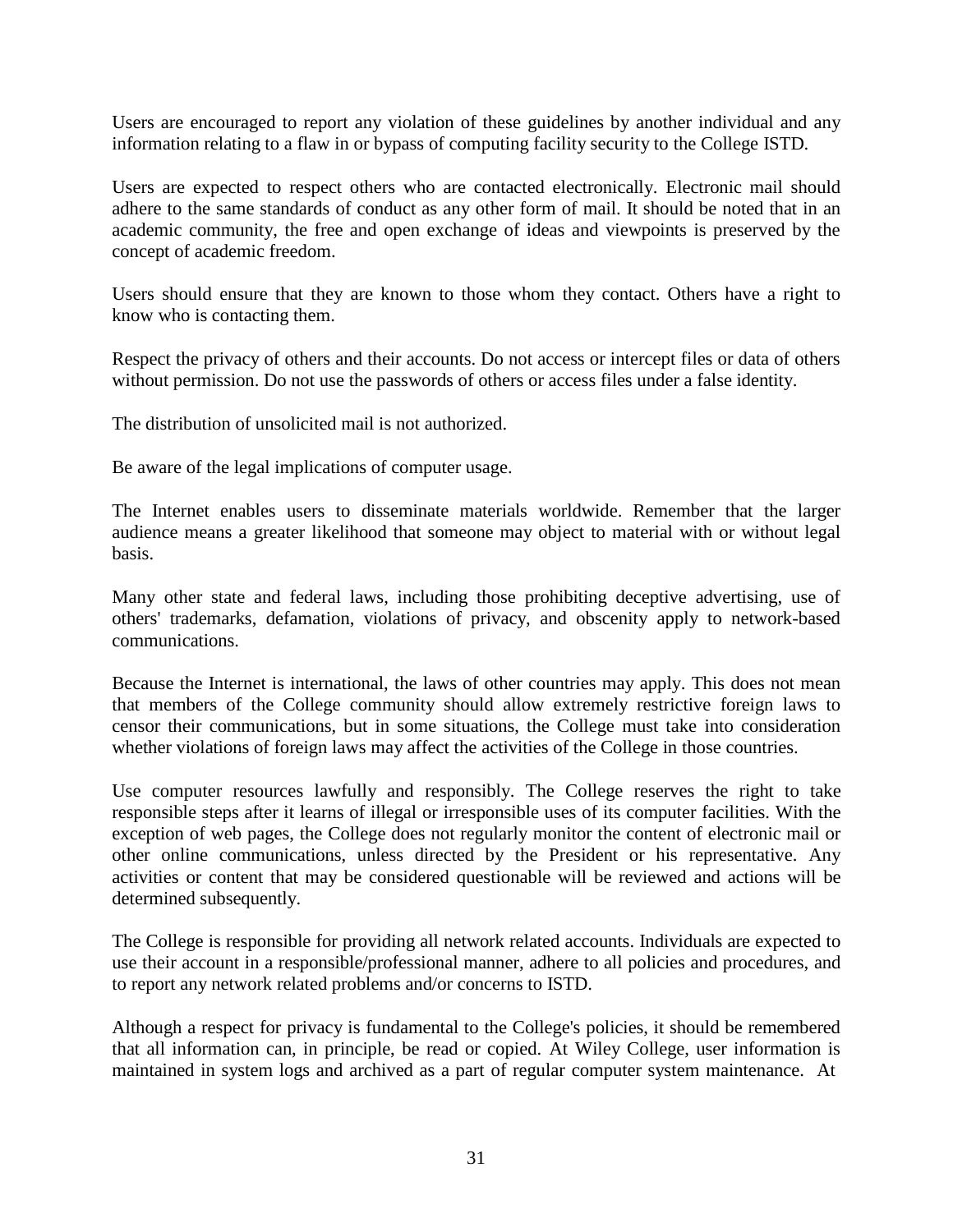Users are encouraged to report any violation of these guidelines by another individual and any information relating to a flaw in or bypass of computing facility security to the College ISTD.

Users are expected to respect others who are contacted electronically. Electronic mail should adhere to the same standards of conduct as any other form of mail. It should be noted that in an academic community, the free and open exchange of ideas and viewpoints is preserved by the concept of academic freedom.

Users should ensure that they are known to those whom they contact. Others have a right to know who is contacting them.

Respect the privacy of others and their accounts. Do not access or intercept files or data of others without permission. Do not use the passwords of others or access files under a false identity.

The distribution of unsolicited mail is not authorized.

Be aware of the legal implications of computer usage.

The Internet enables users to disseminate materials worldwide. Remember that the larger audience means a greater likelihood that someone may object to material with or without legal basis.

Many other state and federal laws, including those prohibiting deceptive advertising, use of others' trademarks, defamation, violations of privacy, and obscenity apply to network-based communications.

Because the Internet is international, the laws of other countries may apply. This does not mean that members of the College community should allow extremely restrictive foreign laws to censor their communications, but in some situations, the College must take into consideration whether violations of foreign laws may affect the activities of the College in those countries.

Use computer resources lawfully and responsibly. The College reserves the right to take responsible steps after it learns of illegal or irresponsible uses of its computer facilities. With the exception of web pages, the College does not regularly monitor the content of electronic mail or other online communications, unless directed by the President or his representative. Any activities or content that may be considered questionable will be reviewed and actions will be determined subsequently.

The College is responsible for providing all network related accounts. Individuals are expected to use their account in a responsible/professional manner, adhere to all policies and procedures, and to report any network related problems and/or concerns to ISTD.

Although a respect for privacy is fundamental to the College's policies, it should be remembered that all information can, in principle, be read or copied. At Wiley College, user information is maintained in system logs and archived as a part of regular computer system maintenance. At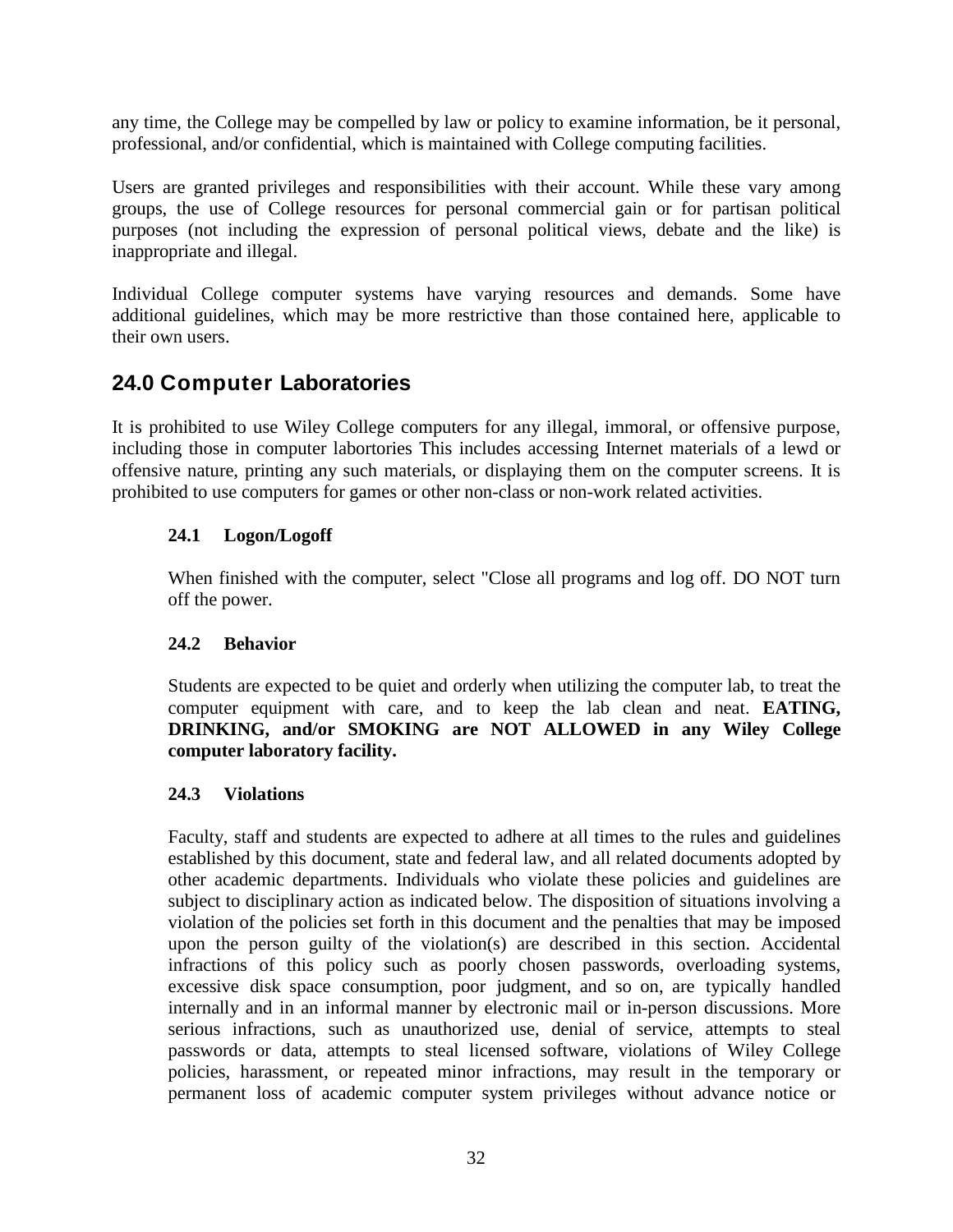any time, the College may be compelled by law or policy to examine information, be it personal, professional, and/or confidential, which is maintained with College computing facilities.

Users are granted privileges and responsibilities with their account. While these vary among groups, the use of College resources for personal commercial gain or for partisan political purposes (not including the expression of personal political views, debate and the like) is inappropriate and illegal.

Individual College computer systems have varying resources and demands. Some have additional guidelines, which may be more restrictive than those contained here, applicable to their own users.

# <span id="page-31-0"></span>**24.0 Computer Laboratories**

It is prohibited to use Wiley College computers for any illegal, immoral, or offensive purpose, including those in computer labortories This includes accessing Internet materials of a lewd or offensive nature, printing any such materials, or displaying them on the computer screens. It is prohibited to use computers for games or other non-class or non-work related activities.

### <span id="page-31-1"></span>**24.1 Logon/Logoff**

When finished with the computer, select "Close all programs and log off. DO NOT turn off the power.

#### <span id="page-31-2"></span>**24.2 Behavior**

Students are expected to be quiet and orderly when utilizing the computer lab, to treat the computer equipment with care, and to keep the lab clean and neat. **EATING, DRINKING, and/or SMOKING are NOT ALLOWED in any Wiley College computer laboratory facility.**

#### <span id="page-31-3"></span>**24.3 Violations**

Faculty, staff and students are expected to adhere at all times to the rules and guidelines established by this document, state and federal law, and all related documents adopted by other academic departments. Individuals who violate these policies and guidelines are subject to disciplinary action as indicated below. The disposition of situations involving a violation of the policies set forth in this document and the penalties that may be imposed upon the person guilty of the violation(s) are described in this section. Accidental infractions of this policy such as poorly chosen passwords, overloading systems, excessive disk space consumption, poor judgment, and so on, are typically handled internally and in an informal manner by electronic mail or in-person discussions. More serious infractions, such as unauthorized use, denial of service, attempts to steal passwords or data, attempts to steal licensed software, violations of Wiley College policies, harassment, or repeated minor infractions, may result in the temporary or permanent loss of academic computer system privileges without advance notice or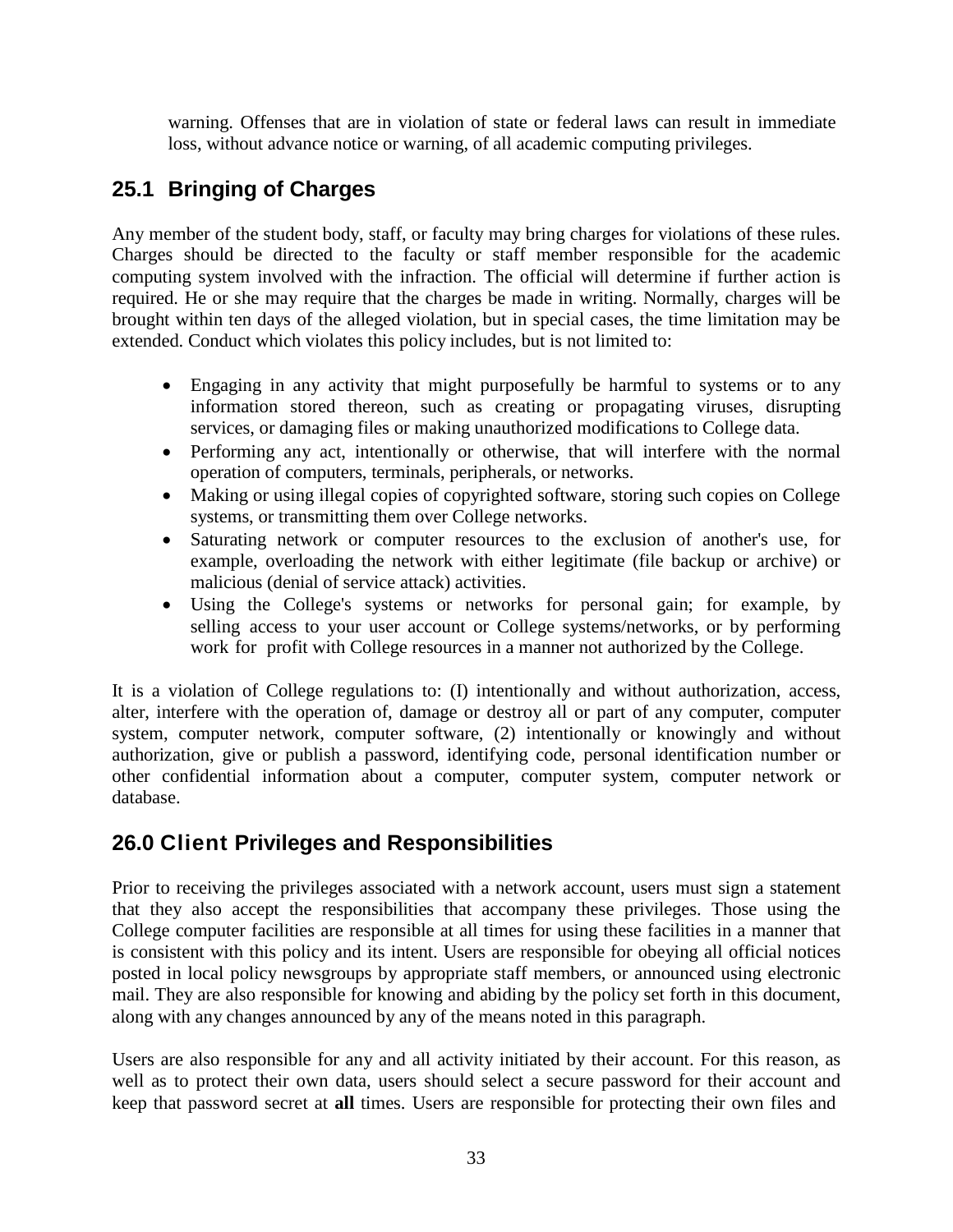warning. Offenses that are in violation of state or federal laws can result in immediate loss, without advance notice or warning, of all academic computing privileges.

# <span id="page-32-0"></span>**25.1 Bringing of Charges**

Any member of the student body, staff, or faculty may bring charges for violations of these rules. Charges should be directed to the faculty or staff member responsible for the academic computing system involved with the infraction. The official will determine if further action is required. He or she may require that the charges be made in writing. Normally, charges will be brought within ten days of the alleged violation, but in special cases, the time limitation may be extended. Conduct which violates this policy includes, but is not limited to:

- Engaging in any activity that might purposefully be harmful to systems or to any information stored thereon, such as creating or propagating viruses, disrupting services, or damaging files or making unauthorized modifications to College data.
- Performing any act, intentionally or otherwise, that will interfere with the normal operation of computers, terminals, peripherals, or networks.
- Making or using illegal copies of copyrighted software, storing such copies on College systems, or transmitting them over College networks.
- Saturating network or computer resources to the exclusion of another's use, for example, overloading the network with either legitimate (file backup or archive) or malicious (denial of service attack) activities.
- Using the College's systems or networks for personal gain; for example, by selling access to your user account or College systems/networks, or by performing work for profit with College resources in a manner not authorized by the College.

It is a violation of College regulations to: (I) intentionally and without authorization, access, alter, interfere with the operation of, damage or destroy all or part of any computer, computer system, computer network, computer software, (2) intentionally or knowingly and without authorization, give or publish a password, identifying code, personal identification number or other confidential information about a computer, computer system, computer network or database.

# <span id="page-32-1"></span>**26.0 Client Privileges and Responsibilities**

Prior to receiving the privileges associated with a network account, users must sign a statement that they also accept the responsibilities that accompany these privileges. Those using the College computer facilities are responsible at all times for using these facilities in a manner that is consistent with this policy and its intent. Users are responsible for obeying all official notices posted in local policy newsgroups by appropriate staff members, or announced using electronic mail. They are also responsible for knowing and abiding by the policy set forth in this document, along with any changes announced by any of the means noted in this paragraph.

Users are also responsible for any and all activity initiated by their account. For this reason, as well as to protect their own data, users should select a secure password for their account and keep that password secret at **all** times. Users are responsible for protecting their own files and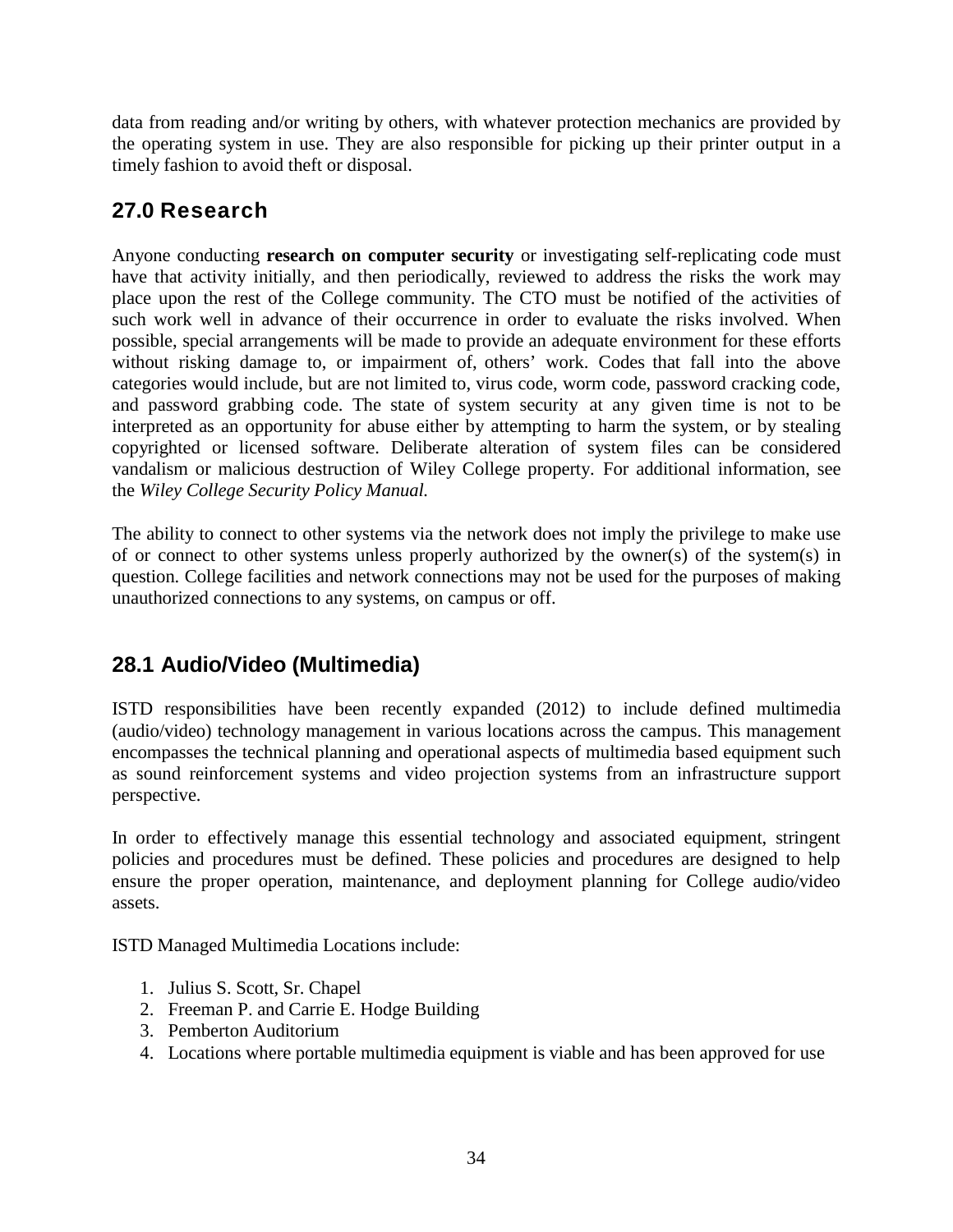data from reading and/or writing by others, with whatever protection mechanics are provided by the operating system in use. They are also responsible for picking up their printer output in a timely fashion to avoid theft or disposal.

# **27.0 Research**

Anyone conducting **research on computer security** or investigating self-replicating code must have that activity initially, and then periodically, reviewed to address the risks the work may place upon the rest of the College community. The CTO must be notified of the activities of such work well in advance of their occurrence in order to evaluate the risks involved. When possible, special arrangements will be made to provide an adequate environment for these efforts without risking damage to, or impairment of, others' work. Codes that fall into the above categories would include, but are not limited to, virus code, worm code, password cracking code, and password grabbing code. The state of system security at any given time is not to be interpreted as an opportunity for abuse either by attempting to harm the system, or by stealing copyrighted or licensed software. Deliberate alteration of system files can be considered vandalism or malicious destruction of Wiley College property. For additional information, see the *Wiley College Security Policy Manual.*

The ability to connect to other systems via the network does not imply the privilege to make use of or connect to other systems unless properly authorized by the owner(s) of the system(s) in question. College facilities and network connections may not be used for the purposes of making unauthorized connections to any systems, on campus or off.

# **28.1 Audio/Video (Multimedia)**

ISTD responsibilities have been recently expanded (2012) to include defined multimedia (audio/video) technology management in various locations across the campus. This management encompasses the technical planning and operational aspects of multimedia based equipment such as sound reinforcement systems and video projection systems from an infrastructure support perspective.

In order to effectively manage this essential technology and associated equipment, stringent policies and procedures must be defined. These policies and procedures are designed to help ensure the proper operation, maintenance, and deployment planning for College audio/video assets.

ISTD Managed Multimedia Locations include:

- 1. Julius S. Scott, Sr. Chapel
- 2. Freeman P. and Carrie E. Hodge Building
- 3. Pemberton Auditorium
- 4. Locations where portable multimedia equipment is viable and has been approved for use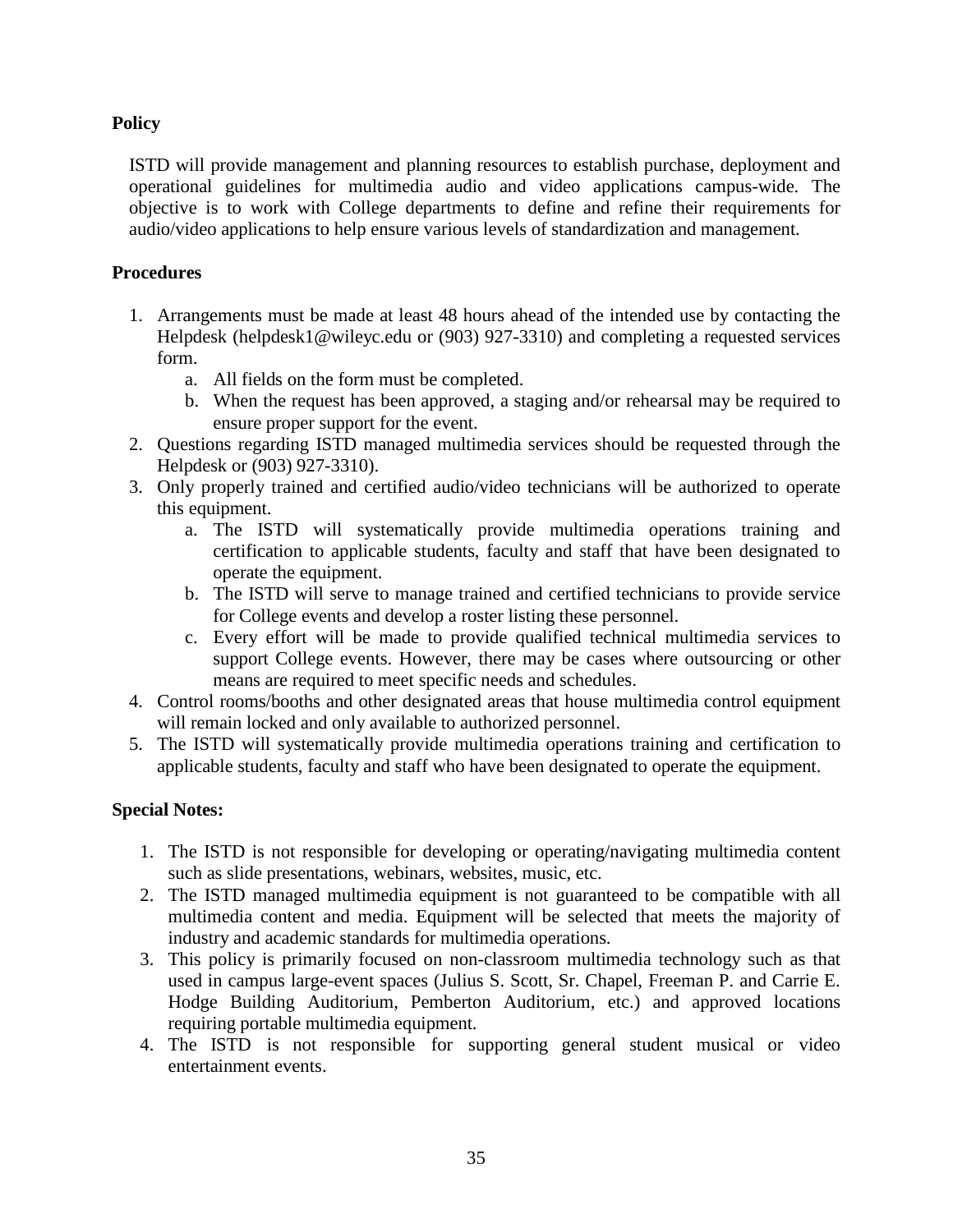#### **Policy**

ISTD will provide management and planning resources to establish purchase, deployment and operational guidelines for multimedia audio and video applications campus-wide. The objective is to work with College departments to define and refine their requirements for audio/video applications to help ensure various levels of standardization and management.

#### **Procedures**

- 1. Arrangements must be made at least 48 hours ahead of the intended use by contacting the Helpdesk [\(helpdesk1@wileyc.edu](mailto:(helpdesk1@wileyc.edu) or (903) 927-3310) and completing a requested services form.
	- a. All fields on the form must be completed.
	- b. When the request has been approved, a staging and/or rehearsal may be required to ensure proper support for the event.
- 2. Questions regarding ISTD managed multimedia services should be requested through the Helpdesk or (903) 927-3310).
- 3. Only properly trained and certified audio/video technicians will be authorized to operate this equipment.
	- a. The ISTD will systematically provide multimedia operations training and certification to applicable students, faculty and staff that have been designated to operate the equipment.
	- b. The ISTD will serve to manage trained and certified technicians to provide service for College events and develop a roster listing these personnel.
	- c. Every effort will be made to provide qualified technical multimedia services to support College events. However, there may be cases where outsourcing or other means are required to meet specific needs and schedules.
- 4. Control rooms/booths and other designated areas that house multimedia control equipment will remain locked and only available to authorized personnel.
- 5. The ISTD will systematically provide multimedia operations training and certification to applicable students, faculty and staff who have been designated to operate the equipment.

# **Special Notes:**

- 1. The ISTD is not responsible for developing or operating/navigating multimedia content such as slide presentations, webinars, websites, music, etc.
- 2. The ISTD managed multimedia equipment is not guaranteed to be compatible with all multimedia content and media. Equipment will be selected that meets the majority of industry and academic standards for multimedia operations.
- 3. This policy is primarily focused on non-classroom multimedia technology such as that used in campus large-event spaces (Julius S. Scott, Sr. Chapel, Freeman P. and Carrie E. Hodge Building Auditorium, Pemberton Auditorium, etc.) and approved locations requiring portable multimedia equipment.
- 4. The ISTD is not responsible for supporting general student musical or video entertainment events.